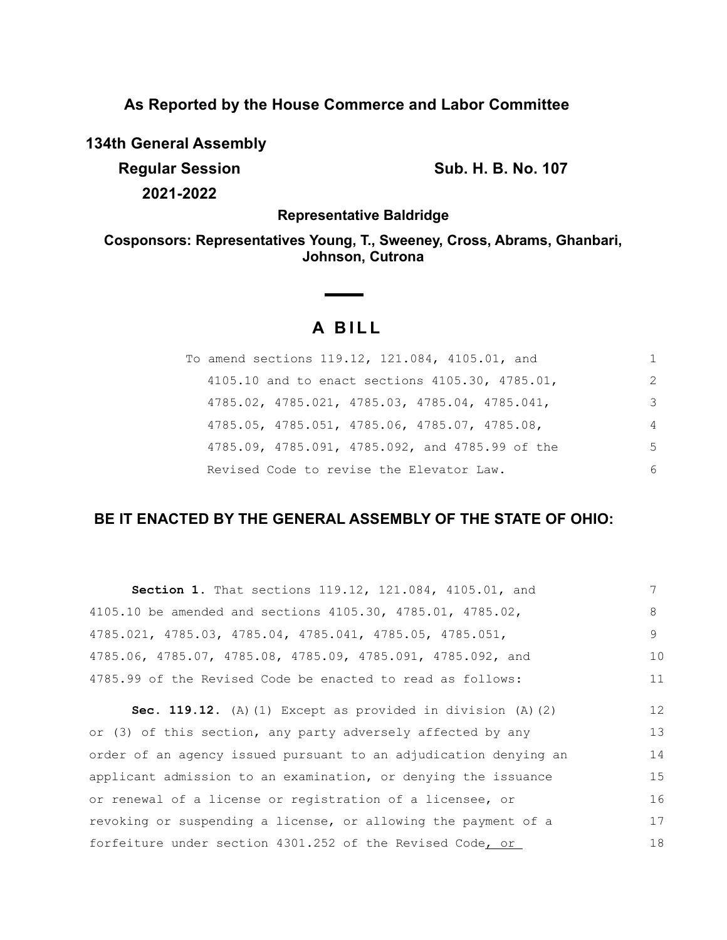**As Reported by the House Commerce and Labor Committee**

**134th General Assembly**

**Regular Session Sub. H. B. No. 107 2021-2022**

**Representative Baldridge**

**Cosponsors: Representatives Young, T., Sweeney, Cross, Abrams, Ghanbari, Johnson, Cutrona**

# **A B I L L**

| To amend sections 119.12, 121.084, 4105.01, and |    |
|-------------------------------------------------|----|
| 4105.10 and to enact sections 4105.30, 4785.01, | 2  |
| 4785.02, 4785.021, 4785.03, 4785.04, 4785.041,  | 3  |
| 4785.05, 4785.051, 4785.06, 4785.07, 4785.08,   | 4  |
| 4785.09, 4785.091, 4785.092, and 4785.99 of the | .5 |
| Revised Code to revise the Elevator Law.        | 6  |

## **BE IT ENACTED BY THE GENERAL ASSEMBLY OF THE STATE OF OHIO:**

| <b>Section 1.</b> That sections 119.12, 121.084, 4105.01, and              |    |
|----------------------------------------------------------------------------|----|
| 4105.10 be amended and sections 4105.30, 4785.01, 4785.02,                 | 8  |
| $4785.021$ , $4785.03$ , $4785.04$ , $4785.041$ , $4785.05$ , $4785.051$ , | 9. |
| 4785.06, 4785.07, 4785.08, 4785.09, 4785.091, 4785.092, and                | 10 |
| 4785.99 of the Revised Code be enacted to read as follows:                 | 11 |

**Sec. 119.12.** (A)(1) Except as provided in division (A)(2) or (3) of this section, any party adversely affected by any order of an agency issued pursuant to an adjudication denying an applicant admission to an examination, or denying the issuance or renewal of a license or registration of a licensee, or revoking or suspending a license, or allowing the payment of a forfeiture under section 4301.252 of the Revised Code, or 12 13 14 15 16 17 18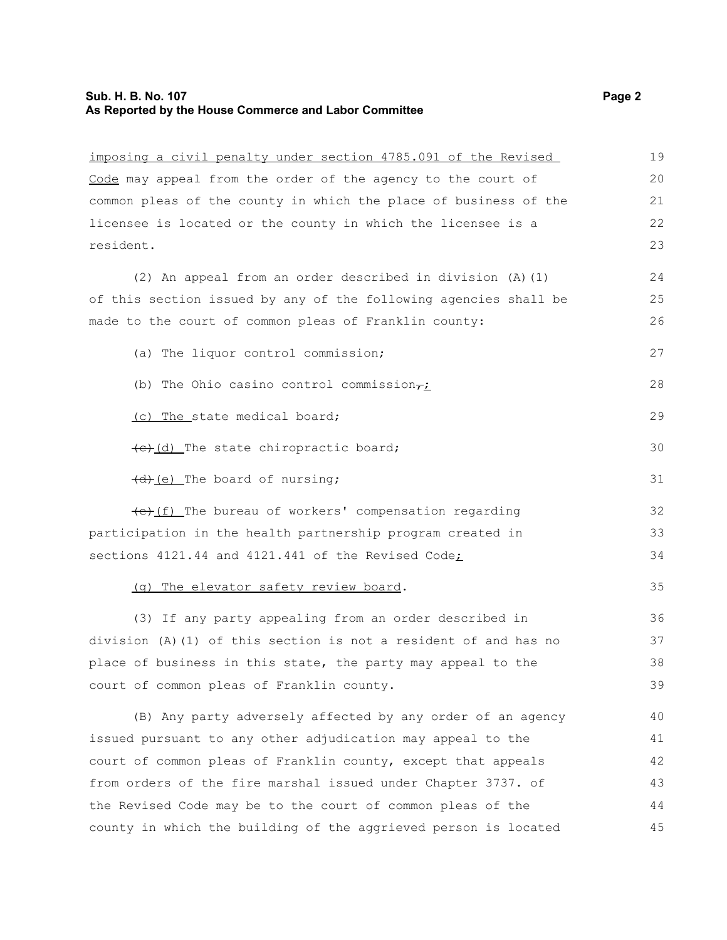### **Sub. H. B. No. 107 Page 2 As Reported by the House Commerce and Labor Committee**

| imposing a civil penalty under section 4785.091 of the Revised   | 19 |
|------------------------------------------------------------------|----|
| Code may appeal from the order of the agency to the court of     | 20 |
| common pleas of the county in which the place of business of the | 21 |
| licensee is located or the county in which the licensee is a     | 22 |
| resident.                                                        | 23 |
| (2) An appeal from an order described in division (A) (1)        | 24 |
| of this section issued by any of the following agencies shall be | 25 |
| made to the court of common pleas of Franklin county:            | 26 |
| (a) The liquor control commission;                               | 27 |
| (b) The Ohio casino control commission $\tau_L$                  | 28 |
| (c) The state medical board;                                     | 29 |
| (e)(d) The state chiropractic board;                             | 30 |
| (d) (e) The board of nursing;                                    | 31 |
| (e) (f) The bureau of workers' compensation regarding            | 32 |
| participation in the health partnership program created in       | 33 |
| sections 4121.44 and 4121.441 of the Revised Code;               | 34 |
| (g) The elevator safety review board.                            | 35 |
| (3) If any party appealing from an order described in            | 36 |
| division (A)(1) of this section is not a resident of and has no  | 37 |
| place of business in this state, the party may appeal to the     | 38 |
| court of common pleas of Franklin county.                        | 39 |
| (B) Any party adversely affected by any order of an agency       | 40 |
| issued pursuant to any other adjudication may appeal to the      | 41 |
| court of common pleas of Franklin county, except that appeals    | 42 |
| from orders of the fire marshal issued under Chapter 3737. of    | 43 |
| the Revised Code may be to the court of common pleas of the      | 44 |
| county in which the building of the aggrieved person is located  | 45 |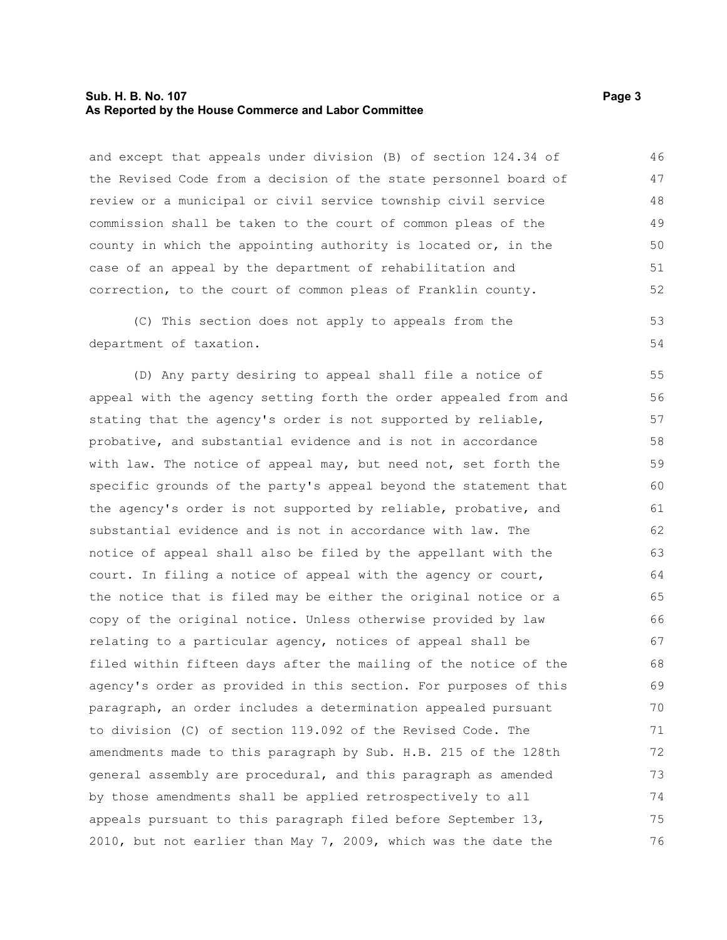#### **Sub. H. B. No. 107 Page 3 As Reported by the House Commerce and Labor Committee**

and except that appeals under division (B) of section 124.34 of the Revised Code from a decision of the state personnel board of review or a municipal or civil service township civil service commission shall be taken to the court of common pleas of the county in which the appointing authority is located or, in the case of an appeal by the department of rehabilitation and correction, to the court of common pleas of Franklin county. 46 47 48 49 50 51 52

(C) This section does not apply to appeals from the department of taxation. 53 54

(D) Any party desiring to appeal shall file a notice of appeal with the agency setting forth the order appealed from and stating that the agency's order is not supported by reliable, probative, and substantial evidence and is not in accordance with law. The notice of appeal may, but need not, set forth the specific grounds of the party's appeal beyond the statement that the agency's order is not supported by reliable, probative, and substantial evidence and is not in accordance with law. The notice of appeal shall also be filed by the appellant with the court. In filing a notice of appeal with the agency or court, the notice that is filed may be either the original notice or a copy of the original notice. Unless otherwise provided by law relating to a particular agency, notices of appeal shall be filed within fifteen days after the mailing of the notice of the agency's order as provided in this section. For purposes of this paragraph, an order includes a determination appealed pursuant to division (C) of section 119.092 of the Revised Code. The amendments made to this paragraph by Sub. H.B. 215 of the 128th general assembly are procedural, and this paragraph as amended by those amendments shall be applied retrospectively to all appeals pursuant to this paragraph filed before September 13, 2010, but not earlier than May 7, 2009, which was the date the 55 56 57 58 59 60 61 62 63 64 65 66 67 68 69 70 71 72 73 74 75 76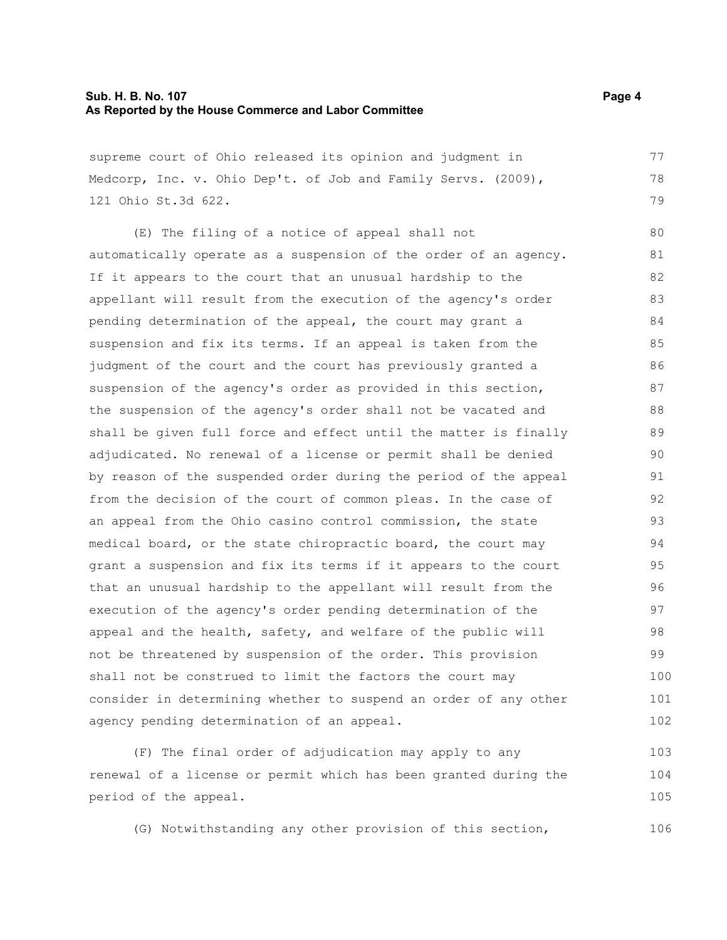#### **Sub. H. B. No. 107 Page 4 As Reported by the House Commerce and Labor Committee**

supreme court of Ohio released its opinion and judgment in Medcorp, Inc. v. Ohio Dep't. of Job and Family Servs. (2009), 121 Ohio St.3d 622.

(E) The filing of a notice of appeal shall not automatically operate as a suspension of the order of an agency. If it appears to the court that an unusual hardship to the appellant will result from the execution of the agency's order pending determination of the appeal, the court may grant a suspension and fix its terms. If an appeal is taken from the judgment of the court and the court has previously granted a suspension of the agency's order as provided in this section, the suspension of the agency's order shall not be vacated and shall be given full force and effect until the matter is finally adjudicated. No renewal of a license or permit shall be denied by reason of the suspended order during the period of the appeal from the decision of the court of common pleas. In the case of an appeal from the Ohio casino control commission, the state medical board, or the state chiropractic board, the court may grant a suspension and fix its terms if it appears to the court that an unusual hardship to the appellant will result from the execution of the agency's order pending determination of the appeal and the health, safety, and welfare of the public will not be threatened by suspension of the order. This provision shall not be construed to limit the factors the court may consider in determining whether to suspend an order of any other agency pending determination of an appeal. 80 81 82 83 84 85 86 87 88 89 90 91 92 93 94 95 96 97 98 99 100 101 102

(F) The final order of adjudication may apply to any renewal of a license or permit which has been granted during the period of the appeal. 103 104 105

(G) Notwithstanding any other provision of this section,

77 78 79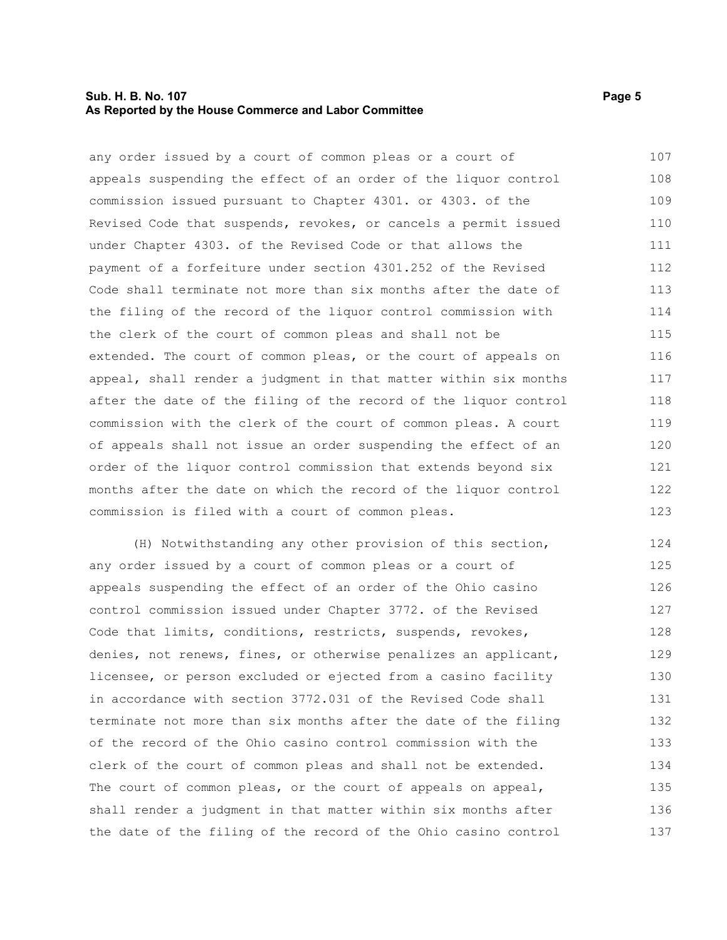#### **Sub. H. B. No. 107 Page 5 As Reported by the House Commerce and Labor Committee**

any order issued by a court of common pleas or a court of appeals suspending the effect of an order of the liquor control commission issued pursuant to Chapter 4301. or 4303. of the Revised Code that suspends, revokes, or cancels a permit issued under Chapter 4303. of the Revised Code or that allows the payment of a forfeiture under section 4301.252 of the Revised Code shall terminate not more than six months after the date of the filing of the record of the liquor control commission with the clerk of the court of common pleas and shall not be extended. The court of common pleas, or the court of appeals on appeal, shall render a judgment in that matter within six months after the date of the filing of the record of the liquor control commission with the clerk of the court of common pleas. A court of appeals shall not issue an order suspending the effect of an order of the liquor control commission that extends beyond six months after the date on which the record of the liquor control commission is filed with a court of common pleas. 107 108 109 110 111 112 113 114 115 116 117 118 119 120 121 122 123

(H) Notwithstanding any other provision of this section, any order issued by a court of common pleas or a court of appeals suspending the effect of an order of the Ohio casino control commission issued under Chapter 3772. of the Revised Code that limits, conditions, restricts, suspends, revokes, denies, not renews, fines, or otherwise penalizes an applicant, licensee, or person excluded or ejected from a casino facility in accordance with section 3772.031 of the Revised Code shall terminate not more than six months after the date of the filing of the record of the Ohio casino control commission with the clerk of the court of common pleas and shall not be extended. The court of common pleas, or the court of appeals on appeal, shall render a judgment in that matter within six months after the date of the filing of the record of the Ohio casino control 124 125 126 127 128 129 130 131 132 133 134 135 136 137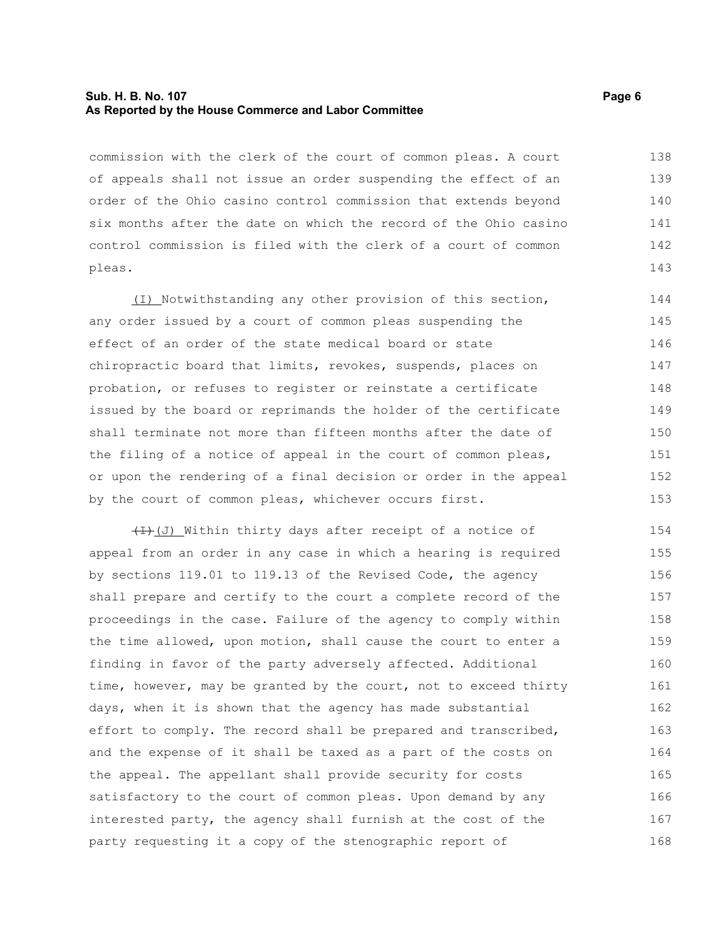#### **Sub. H. B. No. 107 Page 6 As Reported by the House Commerce and Labor Committee**

commission with the clerk of the court of common pleas. A court of appeals shall not issue an order suspending the effect of an order of the Ohio casino control commission that extends beyond six months after the date on which the record of the Ohio casino control commission is filed with the clerk of a court of common pleas. 138 139 140 141 142 143

(I) Notwithstanding any other provision of this section, any order issued by a court of common pleas suspending the effect of an order of the state medical board or state chiropractic board that limits, revokes, suspends, places on probation, or refuses to register or reinstate a certificate issued by the board or reprimands the holder of the certificate shall terminate not more than fifteen months after the date of the filing of a notice of appeal in the court of common pleas, or upon the rendering of a final decision or order in the appeal by the court of common pleas, whichever occurs first. 144 145 146 147 148 149 150 151 152 153

 $(H+(J))$  Within thirty days after receipt of a notice of appeal from an order in any case in which a hearing is required by sections 119.01 to 119.13 of the Revised Code, the agency shall prepare and certify to the court a complete record of the proceedings in the case. Failure of the agency to comply within the time allowed, upon motion, shall cause the court to enter a finding in favor of the party adversely affected. Additional time, however, may be granted by the court, not to exceed thirty days, when it is shown that the agency has made substantial effort to comply. The record shall be prepared and transcribed, and the expense of it shall be taxed as a part of the costs on the appeal. The appellant shall provide security for costs satisfactory to the court of common pleas. Upon demand by any interested party, the agency shall furnish at the cost of the party requesting it a copy of the stenographic report of 154 155 156 157 158 159 160 161 162 163 164 165 166 167 168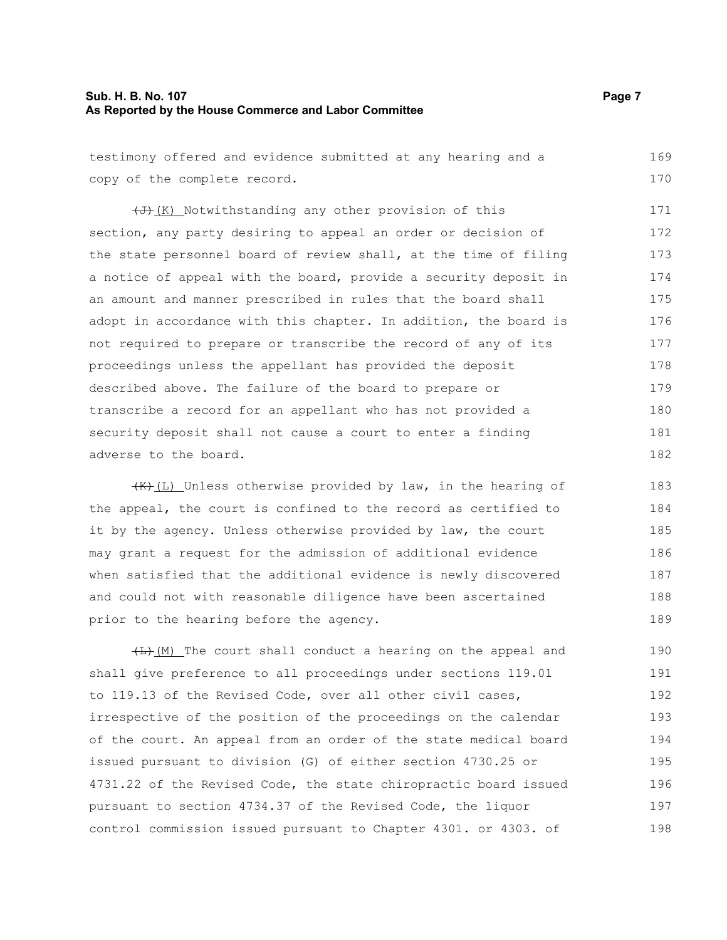#### **Sub. H. B. No. 107 Page 7 As Reported by the House Commerce and Labor Committee**

testimony offered and evidence submitted at any hearing and a copy of the complete record. 169 170

 $\left(\overline{J}\right)$  (K) Notwithstanding any other provision of this section, any party desiring to appeal an order or decision of the state personnel board of review shall, at the time of filing a notice of appeal with the board, provide a security deposit in an amount and manner prescribed in rules that the board shall adopt in accordance with this chapter. In addition, the board is not required to prepare or transcribe the record of any of its proceedings unless the appellant has provided the deposit described above. The failure of the board to prepare or transcribe a record for an appellant who has not provided a security deposit shall not cause a court to enter a finding adverse to the board. 171 172 173 174 175 176 177 178 179 180 181 182

 $(H, L)$  Unless otherwise provided by law, in the hearing of the appeal, the court is confined to the record as certified to it by the agency. Unless otherwise provided by law, the court may grant a request for the admission of additional evidence when satisfied that the additional evidence is newly discovered and could not with reasonable diligence have been ascertained prior to the hearing before the agency. 183 184 185 186 187 188 189

 $(H)$  (M) The court shall conduct a hearing on the appeal and shall give preference to all proceedings under sections 119.01 to 119.13 of the Revised Code, over all other civil cases, irrespective of the position of the proceedings on the calendar of the court. An appeal from an order of the state medical board issued pursuant to division (G) of either section 4730.25 or 4731.22 of the Revised Code, the state chiropractic board issued pursuant to section 4734.37 of the Revised Code, the liquor control commission issued pursuant to Chapter 4301. or 4303. of 190 191 192 193 194 195 196 197 198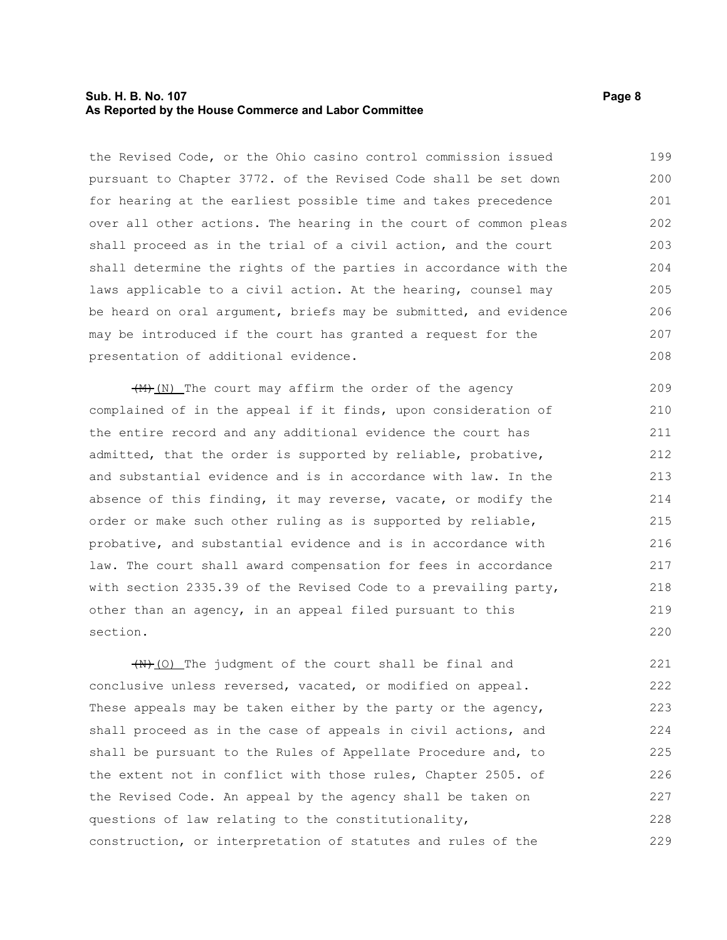#### **Sub. H. B. No. 107 Page 8 As Reported by the House Commerce and Labor Committee**

the Revised Code, or the Ohio casino control commission issued pursuant to Chapter 3772. of the Revised Code shall be set down for hearing at the earliest possible time and takes precedence over all other actions. The hearing in the court of common pleas shall proceed as in the trial of a civil action, and the court shall determine the rights of the parties in accordance with the laws applicable to a civil action. At the hearing, counsel may be heard on oral argument, briefs may be submitted, and evidence may be introduced if the court has granted a request for the presentation of additional evidence. 199 200 201 202 203 204 205 206 207 208

 $\left(\frac{M}{M}\right)$  (N) The court may affirm the order of the agency complained of in the appeal if it finds, upon consideration of the entire record and any additional evidence the court has admitted, that the order is supported by reliable, probative, and substantial evidence and is in accordance with law. In the absence of this finding, it may reverse, vacate, or modify the order or make such other ruling as is supported by reliable, probative, and substantial evidence and is in accordance with law. The court shall award compensation for fees in accordance with section 2335.39 of the Revised Code to a prevailing party, other than an agency, in an appeal filed pursuant to this section. 209 210 211 212 213 214 215 216 217 218 219 220

 $(H)$  (O) The judgment of the court shall be final and conclusive unless reversed, vacated, or modified on appeal. These appeals may be taken either by the party or the agency, shall proceed as in the case of appeals in civil actions, and shall be pursuant to the Rules of Appellate Procedure and, to the extent not in conflict with those rules, Chapter 2505. of the Revised Code. An appeal by the agency shall be taken on questions of law relating to the constitutionality, construction, or interpretation of statutes and rules of the 221 222 223 224 225 226 227 228 229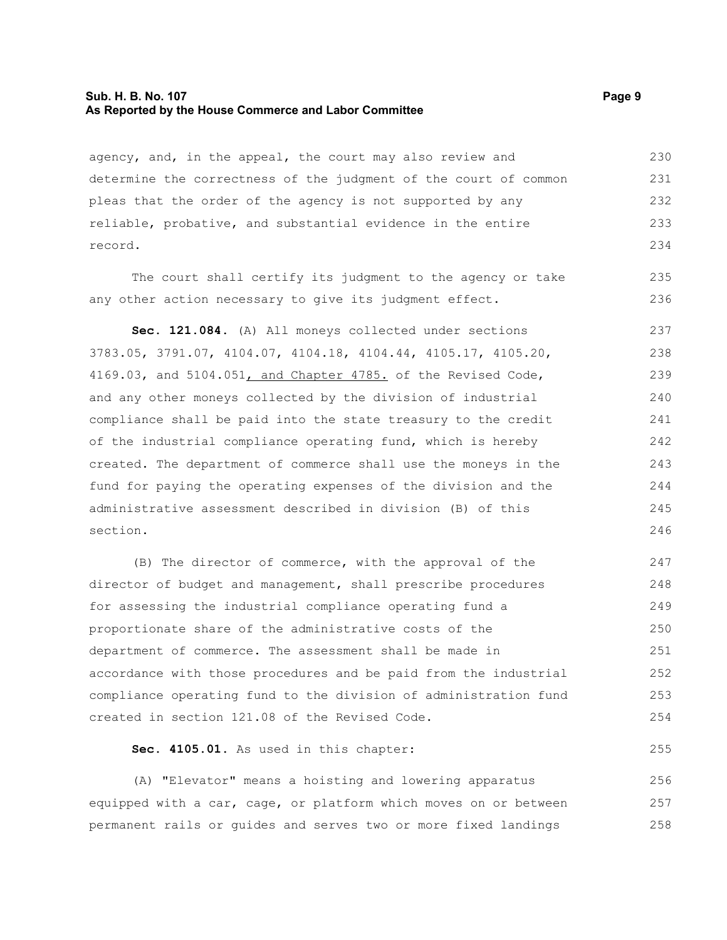#### **Sub. H. B. No. 107 Page 9 As Reported by the House Commerce and Labor Committee**

agency, and, in the appeal, the court may also review and determine the correctness of the judgment of the court of common pleas that the order of the agency is not supported by any reliable, probative, and substantial evidence in the entire record. 230 231 232 233 234

The court shall certify its judgment to the agency or take any other action necessary to give its judgment effect.

**Sec. 121.084.** (A) All moneys collected under sections 3783.05, 3791.07, 4104.07, 4104.18, 4104.44, 4105.17, 4105.20, 4169.03, and 5104.051, and Chapter 4785. of the Revised Code, and any other moneys collected by the division of industrial compliance shall be paid into the state treasury to the credit of the industrial compliance operating fund, which is hereby created. The department of commerce shall use the moneys in the fund for paying the operating expenses of the division and the administrative assessment described in division (B) of this section. 237 238 239 240 241 242 243 244 245 246

(B) The director of commerce, with the approval of the director of budget and management, shall prescribe procedures for assessing the industrial compliance operating fund a proportionate share of the administrative costs of the department of commerce. The assessment shall be made in accordance with those procedures and be paid from the industrial compliance operating fund to the division of administration fund created in section 121.08 of the Revised Code. 247 248 249 250 251 252 253 254

**Sec. 4105.01.** As used in this chapter:

(A) "Elevator" means a hoisting and lowering apparatus equipped with a car, cage, or platform which moves on or between permanent rails or guides and serves two or more fixed landings 256 257 258

235 236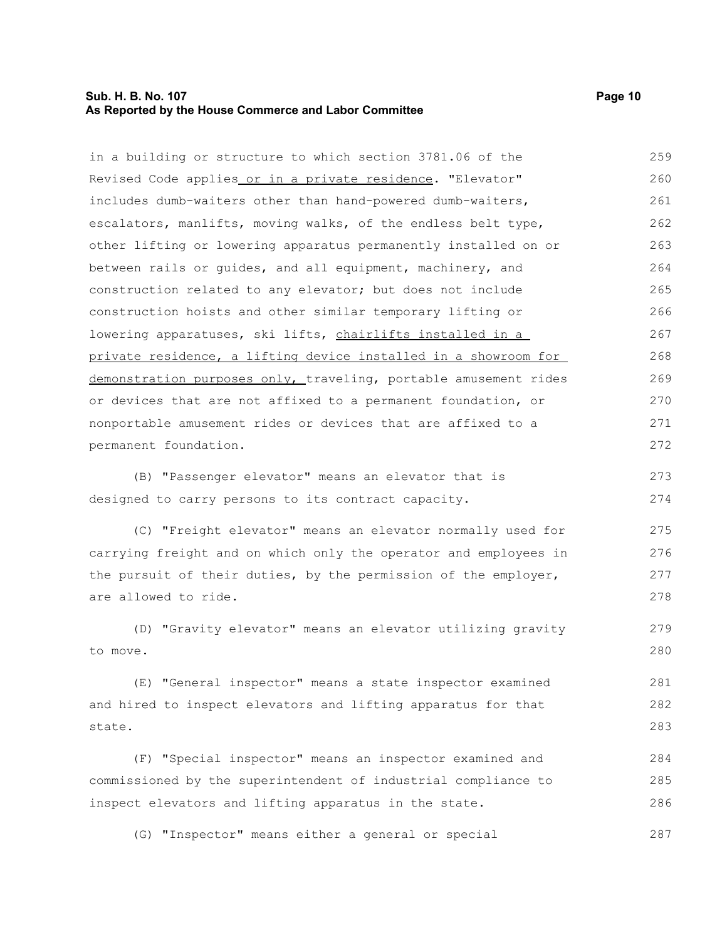#### **Sub. H. B. No. 107 Page 10 As Reported by the House Commerce and Labor Committee**

in a building or structure to which section 3781.06 of the Revised Code applies or in a private residence. "Elevator" includes dumb-waiters other than hand-powered dumb-waiters,

escalators, manlifts, moving walks, of the endless belt type, other lifting or lowering apparatus permanently installed on or between rails or guides, and all equipment, machinery, and construction related to any elevator; but does not include construction hoists and other similar temporary lifting or lowering apparatuses, ski lifts, chairlifts installed in a private residence, a lifting device installed in a showroom for demonstration purposes only, traveling, portable amusement rides or devices that are not affixed to a permanent foundation, or nonportable amusement rides or devices that are affixed to a permanent foundation. 262 263 264 265 266 267 268 269 270 271 272

(B) "Passenger elevator" means an elevator that is designed to carry persons to its contract capacity. 273 274

(C) "Freight elevator" means an elevator normally used for carrying freight and on which only the operator and employees in the pursuit of their duties, by the permission of the employer, are allowed to ride. 275 276 277 278

(D) "Gravity elevator" means an elevator utilizing gravity to move. 279 280

(E) "General inspector" means a state inspector examined and hired to inspect elevators and lifting apparatus for that state. 281 282 283

(F) "Special inspector" means an inspector examined and commissioned by the superintendent of industrial compliance to inspect elevators and lifting apparatus in the state. 284 285 286

(G) "Inspector" means either a general or special 287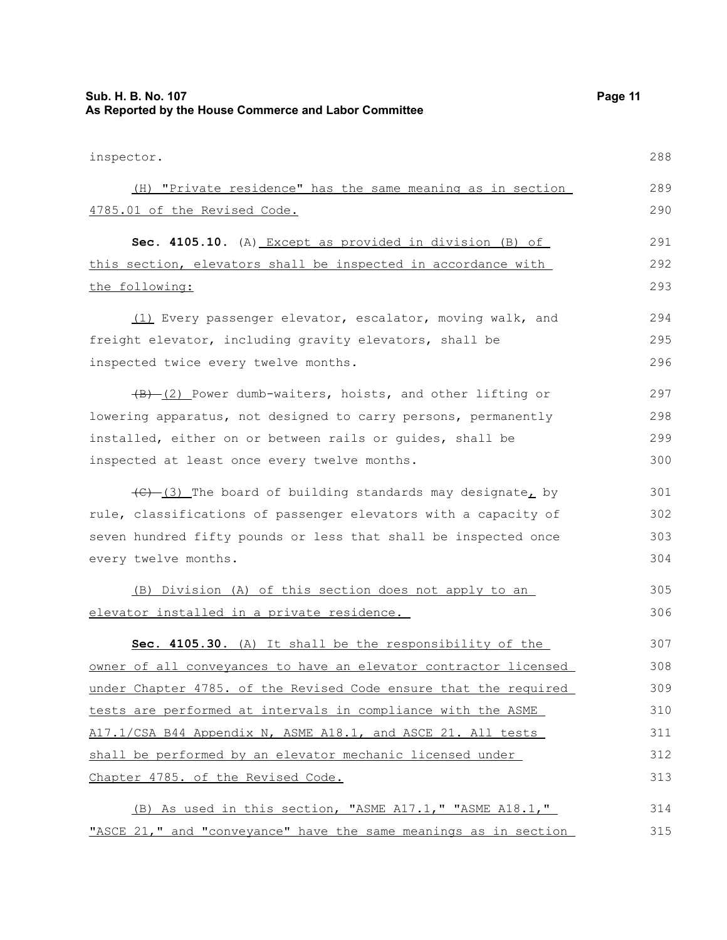| Sub. H. B. No. 107<br>As Reported by the House Commerce and Labor Committee                | Page 11 |
|--------------------------------------------------------------------------------------------|---------|
| inspector.                                                                                 | 288     |
| (H) "Private residence" has the same meaning as in section                                 | 289     |
| 4785.01 of the Revised Code.                                                               | 290     |
| Sec. 4105.10. (A) Except as provided in division (B) of                                    | 291     |
| this section, elevators shall be inspected in accordance with                              | 292     |
| the following:                                                                             | 293     |
| (1) Every passenger elevator, escalator, moving walk, and                                  | 294     |
| freight elevator, including gravity elevators, shall be                                    | 295     |
| inspected twice every twelve months.                                                       | 296     |
| $\overline{(B) - (2)}$ Power dumb-waiters, hoists, and other lifting or                    | 297     |
| lowering apparatus, not designed to carry persons, permanently                             | 298     |
| installed, either on or between rails or guides, shall be                                  | 299     |
| inspected at least once every twelve months.                                               | 300     |
| $\left(\frac{1}{2} - \frac{1}{2}\right)$ The board of building standards may designate, by | 301     |
| rule, classifications of passenger elevators with a capacity of                            | 302     |
| seven hundred fifty pounds or less that shall be inspected once                            | 303     |
| every twelve months.                                                                       | 304     |
| (B) Division (A) of this section does not apply to an                                      | 305     |
| elevator installed in a private residence.                                                 | 306     |
| Sec. 4105.30. (A) It shall be the responsibility of the                                    | 307     |
| owner of all conveyances to have an elevator contractor licensed                           | 308     |
| under Chapter 4785. of the Revised Code ensure that the required                           | 309     |
| tests are performed at intervals in compliance with the ASME                               | 310     |
| A17.1/CSA B44 Appendix N, ASME A18.1, and ASCE 21. All tests                               | 311     |
| shall be performed by an elevator mechanic licensed under                                  | 312     |
| Chapter 4785. of the Revised Code.                                                         | 313     |
| (B) As used in this section, "ASME A17.1," "ASME A18.1,"                                   | 314     |
| "ASCE 21," and "conveyance" have the same meanings as in section                           | 315     |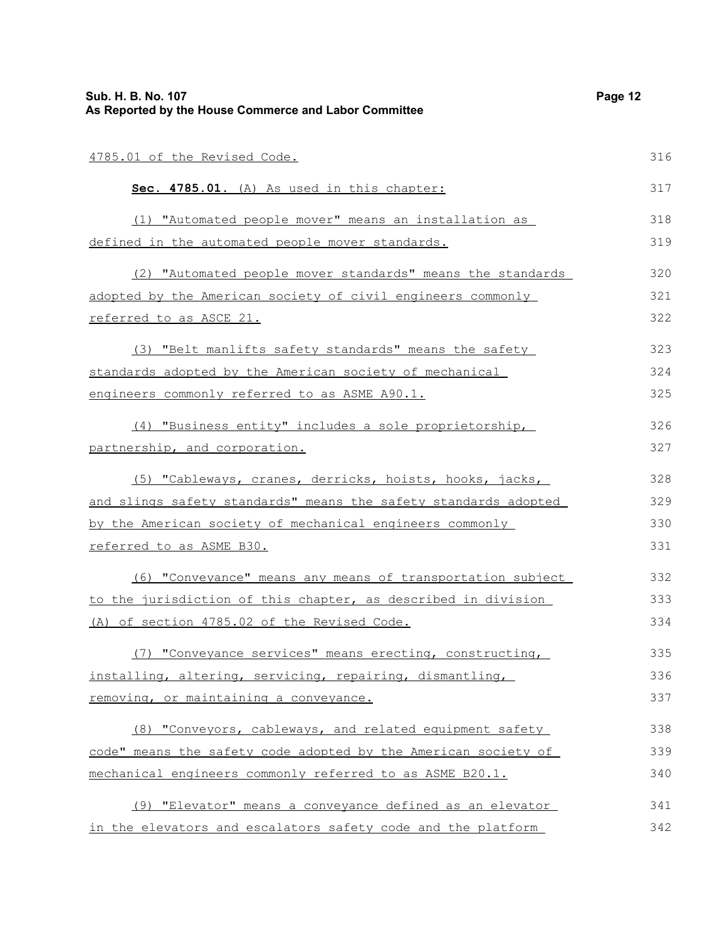| Sub. H. B. No. 107<br>As Reported by the House Commerce and Labor Committee |     |
|-----------------------------------------------------------------------------|-----|
| 4785.01 of the Revised Code.                                                | 316 |
| Sec. 4785.01. (A) As used in this chapter:                                  | 317 |
| (1) "Automated people mover" means an installation as                       | 318 |
| defined in the automated people mover standards.                            | 319 |
| (2) "Automated people mover standards" means the standards                  | 320 |
| adopted by the American society of civil engineers commonly                 | 321 |
| referred to as ASCE 21.                                                     | 322 |
| (3) "Belt manlifts safety standards" means the safety                       | 323 |
| standards adopted by the American society of mechanical                     | 324 |
| engineers commonly referred to as ASME A90.1.                               | 325 |
| (4) "Business entity" includes a sole proprietorship,                       | 326 |
| partnership, and corporation.                                               | 327 |
| (5) "Cableways, cranes, derricks, hoists, hooks, jacks,                     | 328 |
| and slings safety standards" means the safety standards adopted             | 329 |
| by the American society of mechanical engineers commonly                    | 330 |
| referred to as ASME B30.                                                    | 331 |
| (6) "Conveyance" means any means of transportation subject                  | 332 |
| to the jurisdiction of this chapter, as described in division               | 333 |
| (A) of section 4785.02 of the Revised Code.                                 | 334 |
| (7) "Conveyance services" means erecting, constructing,                     | 335 |
| installing, altering, servicing, repairing, dismantling,                    | 336 |
| removing, or maintaining a conveyance.                                      | 337 |
| (8) "Conveyors, cableways, and related equipment safety                     | 338 |
| code" means the safety code adopted by the American society of              | 339 |
| mechanical engineers commonly referred to as ASME B20.1.                    | 340 |
| (9) "Elevator" means a conveyance defined as an elevator                    | 341 |
| in the elevators and escalators safety code and the platform                | 342 |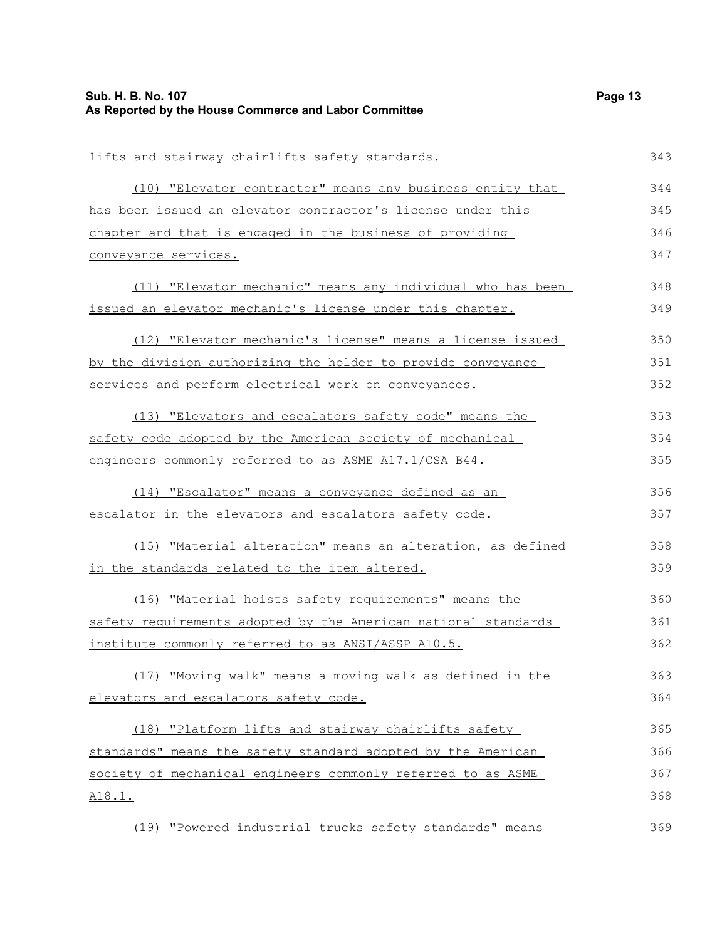| Sub. H. B. No. 107<br>As Reported by the House Commerce and Labor Committee | Page 13 |
|-----------------------------------------------------------------------------|---------|
|                                                                             |         |
| lifts and stairway chairlifts safety standards.                             | 343     |
| (10) "Elevator contractor" means any business entity that                   | 344     |
| has been issued an elevator contractor's license under this                 | 345     |
| chapter and that is engaged in the business of providing                    | 346     |
| conveyance services.                                                        | 347     |
| (11) "Elevator mechanic" means any individual who has been                  | 348     |
| issued an elevator mechanic's license under this chapter.                   | 349     |
| (12) "Elevator mechanic's license" means a license issued                   | 350     |
| by the division authorizing the holder to provide conveyance                | 351     |
| services and perform electrical work on conveyances.                        | 352     |
| (13) "Elevators and escalators safety code" means the                       | 353     |
| safety code adopted by the American society of mechanical                   | 354     |
| engineers commonly referred to as ASME A17.1/CSA B44.                       | 355     |
| (14) "Escalator" means a conveyance defined as an                           | 356     |
| escalator in the elevators and escalators safety code.                      | 357     |
| (15) "Material alteration" means an alteration, as defined                  | 358     |
| in the standards related to the item altered.                               | 359     |
| (16) "Material hoists safety requirements" means the                        | 360     |
| safety requirements adopted by the American national standards              | 361     |
| institute commonly referred to as ANSI/ASSP A10.5.                          | 362     |
| (17) "Moving walk" means a moving walk as defined in the                    | 363     |
| elevators and escalators safety code.                                       | 364     |
| (18) "Platform lifts and stairway chairlifts safety                         | 365     |
| standards" means the safety standard adopted by the American                | 366     |
| society of mechanical engineers commonly referred to as ASME                | 367     |
| <u>A18.1.</u>                                                               | 368     |
| (19) "Powered industrial trucks safety standards" means                     | 369     |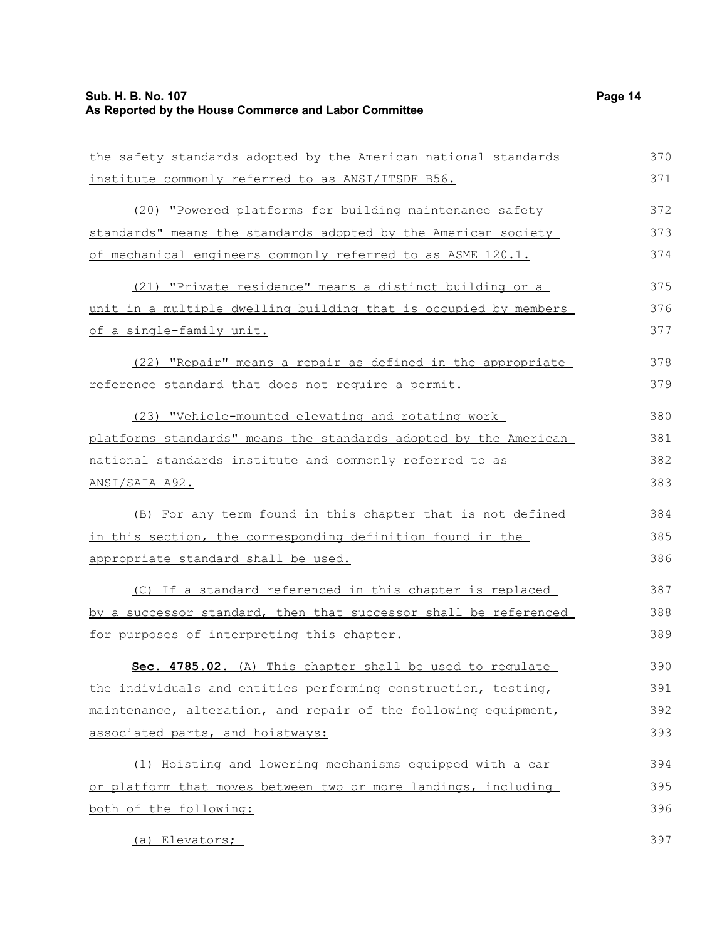| the safety standards adopted by the American national standards  | 370 |
|------------------------------------------------------------------|-----|
| institute commonly referred to as ANSI/ITSDF B56.                | 371 |
| (20) "Powered platforms for building maintenance safety          | 372 |
| standards" means the standards adopted by the American society   | 373 |
| of mechanical engineers commonly referred to as ASME 120.1.      | 374 |
| (21) "Private residence" means a distinct building or a          | 375 |
| unit in a multiple dwelling building that is occupied by members | 376 |
| <u>of a single-family unit.</u>                                  | 377 |
| (22) "Repair" means a repair as defined in the appropriate       | 378 |
| reference standard that does not require a permit.               | 379 |
| (23) "Vehicle-mounted elevating and rotating work                | 380 |
| platforms standards" means the standards adopted by the American | 381 |
| national standards institute and commonly referred to as         | 382 |
| <u>ANSI/SAIA A92.</u>                                            | 383 |
| (B) For any term found in this chapter that is not defined       | 384 |
| in this section, the corresponding definition found in the       | 385 |
| <u>appropriate standard shall be used.</u>                       | 386 |
| (C) If a standard referenced in this chapter is replaced         | 387 |
| by a successor standard, then that successor shall be referenced | 388 |
| for purposes of interpreting this chapter.                       | 389 |
| Sec. 4785.02. (A) This chapter shall be used to regulate         | 390 |
| the individuals and entities performing construction, testing,   | 391 |
| maintenance, alteration, and repair of the following equipment,  | 392 |
| associated parts, and hoistways:                                 | 393 |
| (1) Hoisting and lowering mechanisms equipped with a car         | 394 |
| or platform that moves between two or more landings, including   | 395 |
| both of the following:                                           | 396 |
| (a) Elevators;                                                   | 397 |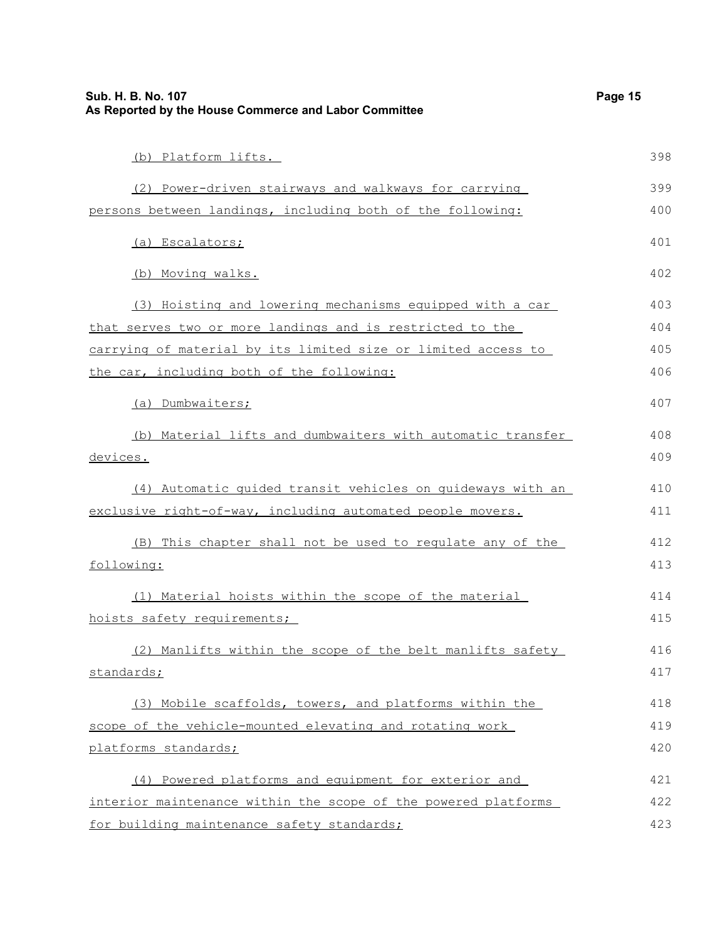| Sub. H. B. No. 107<br>As Reported by the House Commerce and Labor Committee | Page 15 |
|-----------------------------------------------------------------------------|---------|
| (b) Platform lifts.                                                         | 398     |
| (2) Power-driven stairways and walkways for carrying                        | 399     |
| persons between landings, including both of the following:                  | 400     |
| (a) Escalators;                                                             | 401     |
| (b) Moving walks.                                                           | 402     |
| (3) Hoisting and lowering mechanisms equipped with a car                    | 403     |
| that serves two or more landings and is restricted to the                   | 404     |
| carrying of material by its limited size or limited access to               | 405     |
| the car, including both of the following:                                   | 406     |
| (a) Dumbwaiters;                                                            | 407     |
| (b) Material lifts and dumbwaiters with automatic transfer                  | 408     |
| <u>devices.</u>                                                             | 409     |
| (4) Automatic quided transit vehicles on quideways with an                  | 410     |
| exclusive right-of-way, including automated people movers.                  | 411     |
| (B) This chapter shall not be used to requlate any of the                   | 412     |
| following:                                                                  | 413     |
| (1) Material hoists within the scope of the material                        | 414     |
| hoists safety requirements;                                                 | 415     |
| (2) Manlifts within the scope of the belt manlifts safety                   | 416     |
| standards;                                                                  | 417     |
| (3) Mobile scaffolds, towers, and platforms within the                      | 418     |
| scope of the vehicle-mounted elevating and rotating work                    | 419     |
| platforms standards;                                                        | 420     |
| (4) Powered platforms and equipment for exterior and                        | 421     |
| interior maintenance within the scope of the powered platforms              | 422     |
| for building maintenance safety standards;                                  | 423     |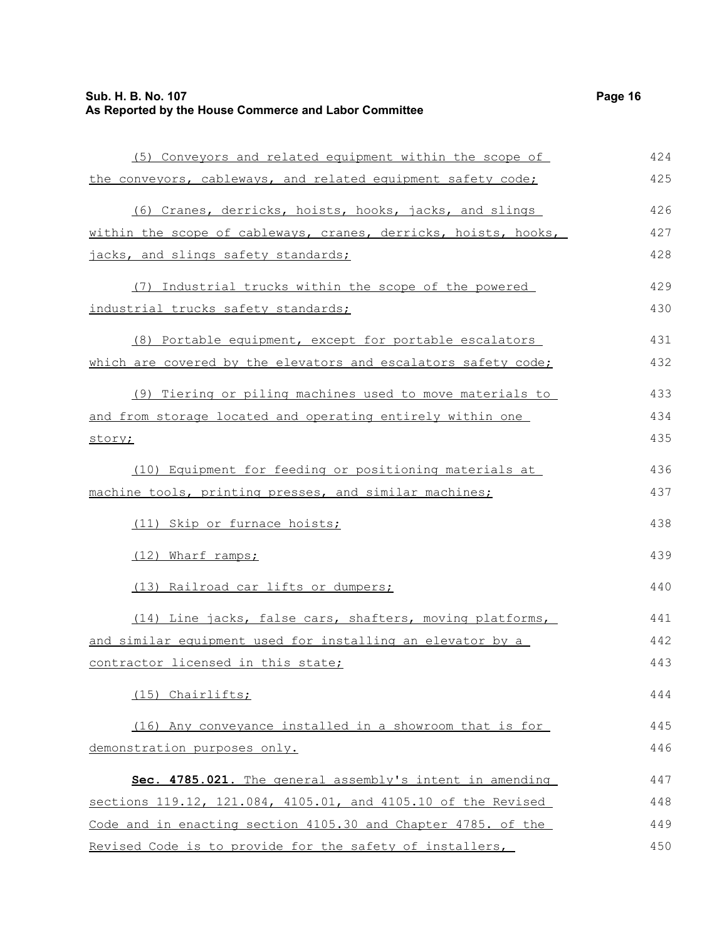| (5) Conveyors and related equipment within the scope of         | 424 |
|-----------------------------------------------------------------|-----|
| the conveyors, cableways, and related equipment safety code;    | 425 |
| (6) Cranes, derricks, hoists, hooks, jacks, and slings          | 426 |
| within the scope of cableways, cranes, derricks, hoists, hooks, | 427 |
| jacks, and slings safety standards;                             | 428 |
| (7) Industrial trucks within the scope of the powered           | 429 |
| industrial trucks safety standards;                             | 430 |
| (8) Portable equipment, except for portable escalators          | 431 |
| which are covered by the elevators and escalators safety code;  | 432 |
| (9) Tiering or piling machines used to move materials to        | 433 |
| and from storage located and operating entirely within one      | 434 |
| story;                                                          | 435 |
| (10) Equipment for feeding or positioning materials at          | 436 |
| machine tools, printing presses, and similar machines;          | 437 |
| (11) Skip or furnace hoists;                                    | 438 |
| (12) Wharf ramps;                                               | 439 |
| (13) Railroad car lifts or dumpers;                             | 440 |
| (14) Line jacks, false cars, shafters, moving platforms,        | 441 |
| and similar equipment used for installing an elevator by a      | 442 |
| contractor licensed in this state;                              | 443 |
| (15) Chairlifts;                                                | 444 |
| (16) Any conveyance installed in a showroom that is for         | 445 |
| demonstration purposes only.                                    | 446 |
| Sec. 4785.021. The general assembly's intent in amending        | 447 |
| sections 119.12, 121.084, 4105.01, and 4105.10 of the Revised   | 448 |
| Code and in enacting section 4105.30 and Chapter 4785. of the   | 449 |
| Revised Code is to provide for the safety of installers,        | 450 |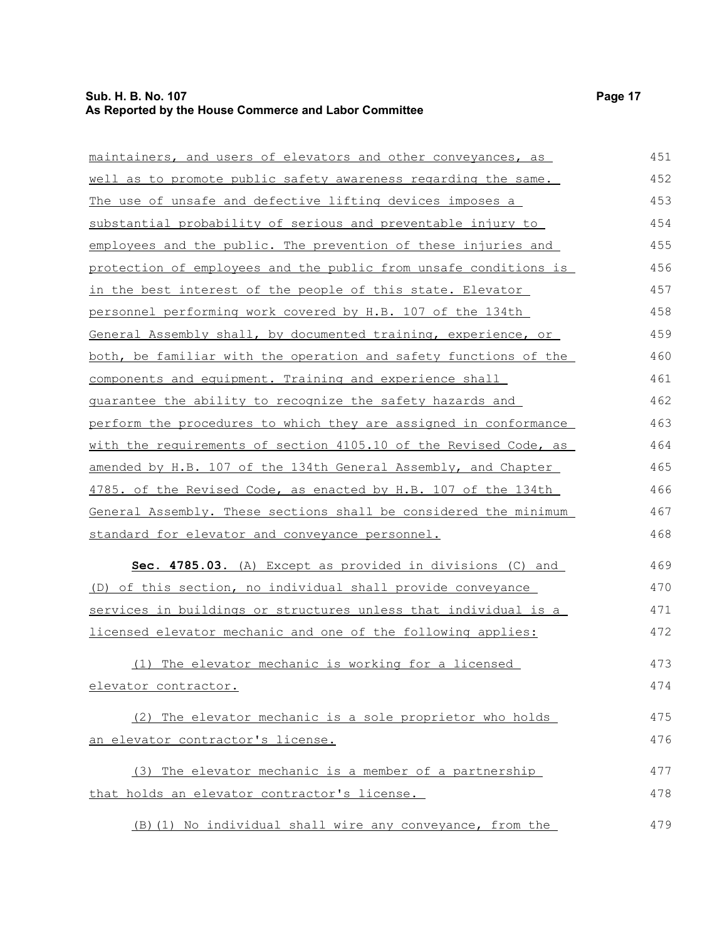| maintainers, and users of elevators and other conveyances, as    | 451 |
|------------------------------------------------------------------|-----|
| well as to promote public safety awareness regarding the same.   | 452 |
| The use of unsafe and defective lifting devices imposes a        | 453 |
| substantial probability of serious and preventable injury to     | 454 |
| employees and the public. The prevention of these injuries and   | 455 |
| protection of employees and the public from unsafe conditions is | 456 |
| in the best interest of the people of this state. Elevator       | 457 |
| personnel performing work covered by H.B. 107 of the 134th       | 458 |
| General Assembly shall, by documented training, experience, or   | 459 |
| both, be familiar with the operation and safety functions of the | 460 |
| components and equipment. Training and experience shall          | 461 |
| guarantee the ability to recognize the safety hazards and        | 462 |
| perform the procedures to which they are assigned in conformance | 463 |
| with the requirements of section 4105.10 of the Revised Code, as | 464 |
| amended by H.B. 107 of the 134th General Assembly, and Chapter   | 465 |
| 4785. of the Revised Code, as enacted by H.B. 107 of the 134th   | 466 |
| General Assembly. These sections shall be considered the minimum | 467 |
| standard for elevator and conveyance personnel.                  | 468 |
| Sec. 4785.03. (A) Except as provided in divisions (C) and        | 469 |
| (D) of this section, no individual shall provide conveyance      | 470 |
| services in buildings or structures unless that individual is a  | 471 |
| licensed elevator mechanic and one of the following applies:     | 472 |
| The elevator mechanic is working for a licensed<br>(1)           | 473 |
| <u>elevator contractor.</u>                                      | 474 |
| (2) The elevator mechanic is a sole proprietor who holds         | 475 |
| an elevator contractor's license.                                | 476 |
| (3) The elevator mechanic is a member of a partnership           | 477 |
| that holds an elevator contractor's license.                     | 478 |
| (B) (1) No individual shall wire any conveyance, from the        | 479 |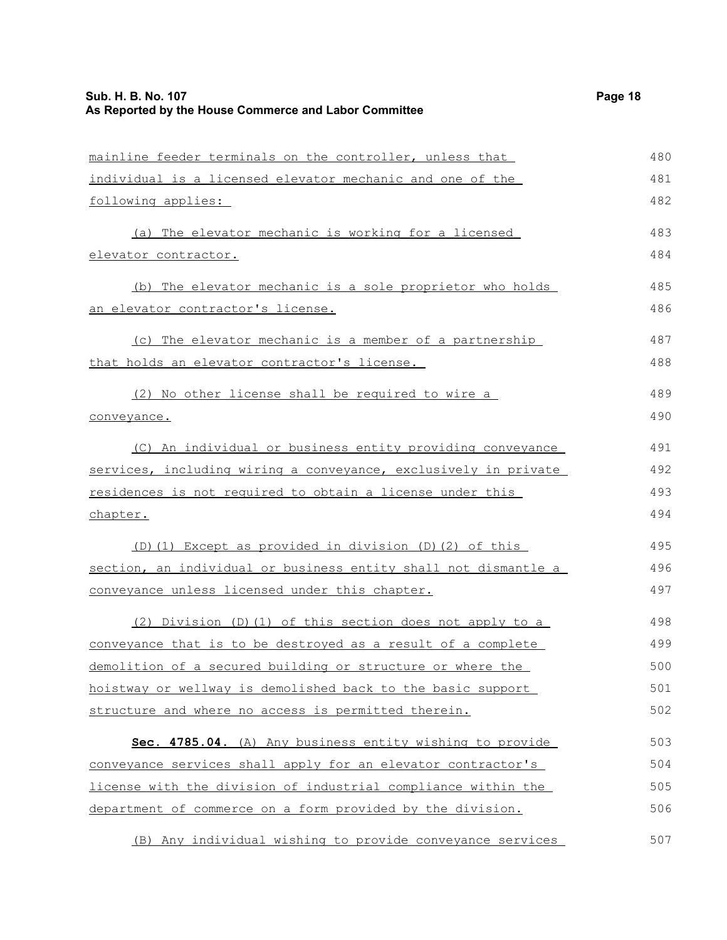| Sub. H. B. No. 107<br>As Reported by the House Commerce and Labor Committee | Page 18 |
|-----------------------------------------------------------------------------|---------|
|                                                                             |         |
| mainline feeder terminals on the controller, unless that                    | 480     |
| individual is a licensed elevator mechanic and one of the                   | 481     |
| following applies:                                                          | 482     |
| (a) The elevator mechanic is working for a licensed                         | 483     |
| elevator contractor.                                                        | 484     |
| (b) The elevator mechanic is a sole proprietor who holds                    | 485     |
| an elevator contractor's license.                                           | 486     |
| (c) The elevator mechanic is a member of a partnership                      | 487     |
| that holds an elevator contractor's license.                                | 488     |
| (2) No other license shall be required to wire a                            | 489     |
| conveyance.                                                                 | 490     |
| (C) An individual or business entity providing conveyance                   | 491     |
| services, including wiring a conveyance, exclusively in private             | 492     |
| residences is not required to obtain a license under this                   | 493     |
| chapter.                                                                    | 494     |
| (D) (1) Except as provided in division (D) (2) of this                      | 495     |
| section, an individual or business entity shall not dismantle a             | 496     |
| conveyance unless licensed under this chapter.                              | 497     |
| (2) Division (D) (1) of this section does not apply to a                    | 498     |
| conveyance that is to be destroyed as a result of a complete                | 499     |
| demolition of a secured building or structure or where the                  | 500     |
| hoistway or wellway is demolished back to the basic support                 | 501     |
| structure and where no access is permitted therein.                         | 502     |
| Sec. 4785.04. (A) Any business entity wishing to provide                    | 503     |
| conveyance services shall apply for an elevator contractor's                | 504     |
| license with the division of industrial compliance within the               | 505     |
| department of commerce on a form provided by the division.                  | 506     |
| (B) Any individual wishing to provide conveyance services                   | 507     |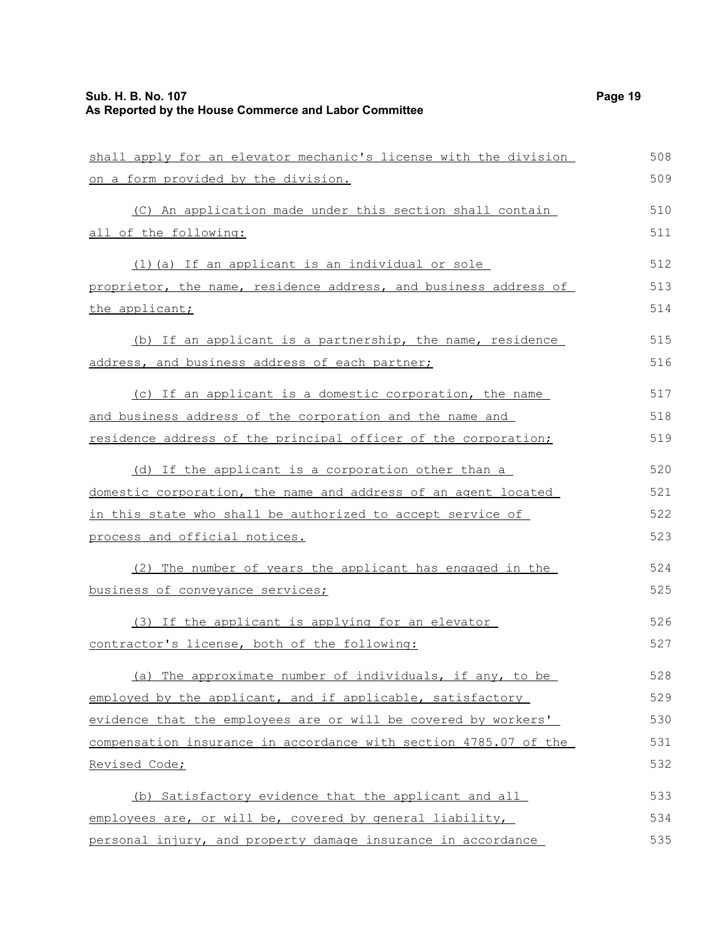| shall apply for an elevator mechanic's license with the division | 508 |
|------------------------------------------------------------------|-----|
| on a form provided by the division.                              | 509 |
| (C) An application made under this section shall contain         | 510 |
| all of the following:                                            | 511 |
| (1) (a) If an applicant is an individual or sole                 | 512 |
| proprietor, the name, residence address, and business address of | 513 |
| the applicant;                                                   | 514 |
| (b) If an applicant is a partnership, the name, residence        | 515 |
| address, and business address of each partner;                   | 516 |
| (c) If an applicant is a domestic corporation, the name          | 517 |
| and business address of the corporation and the name and         | 518 |
| residence address of the principal officer of the corporation;   | 519 |
| (d) If the applicant is a corporation other than a               | 520 |
| domestic corporation, the name and address of an agent located   | 521 |
| in this state who shall be authorized to accept service of       | 522 |
| process and official notices.                                    | 523 |
| (2) The number of years the applicant has engaged in the         | 524 |
| business of conveyance services;                                 | 525 |
| (3) If the applicant is applying for an elevator                 | 526 |
| contractor's license, both of the following:                     | 527 |
| (a) The approximate number of individuals, if any, to be         | 528 |
| employed by the applicant, and if applicable, satisfactory       | 529 |
| evidence that the employees are or will be covered by workers'   | 530 |
| compensation insurance in accordance with section 4785.07 of the | 531 |
| Revised Code;                                                    | 532 |
| (b) Satisfactory evidence that the applicant and all             | 533 |
| employees are, or will be, covered by general liability,         | 534 |
| personal injury, and property damage insurance in accordance     | 535 |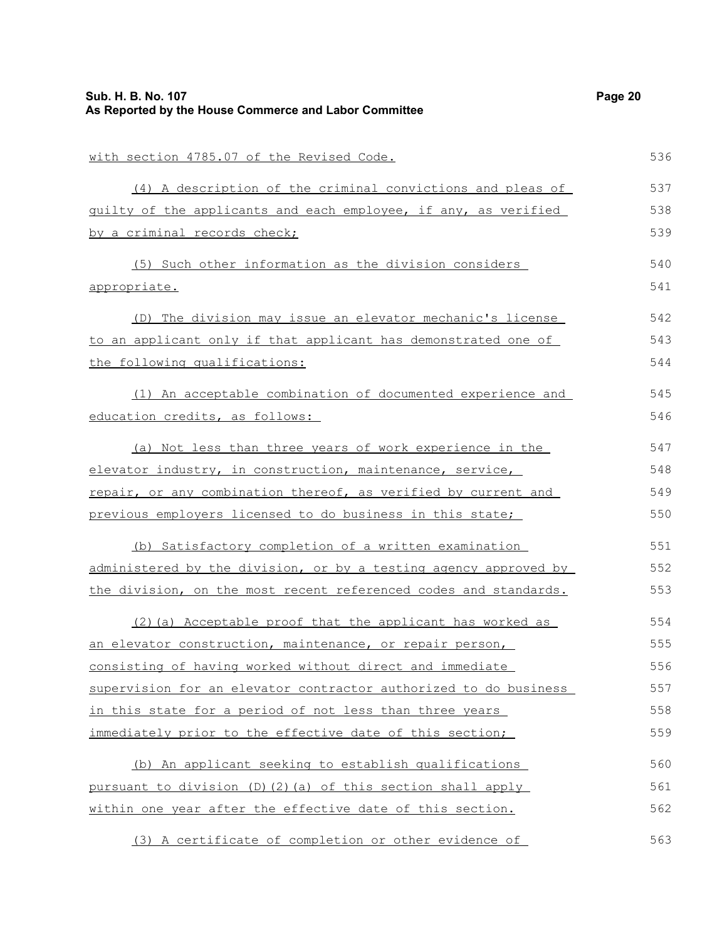| Sub. H. B. No. 107<br>As Reported by the House Commerce and Labor Committee | Page 20 |
|-----------------------------------------------------------------------------|---------|
| with section 4785.07 of the Revised Code.                                   | 536     |
| (4) A description of the criminal convictions and pleas of                  | 537     |
| guilty of the applicants and each employee, if any, as verified             | 538     |
| by a criminal records check;                                                | 539     |
| (5) Such other information as the division considers                        | 540     |
| <u>appropriate.</u>                                                         | 541     |
| (D) The division may issue an elevator mechanic's license                   | 542     |
| to an applicant only if that applicant has demonstrated one of              | 543     |
| the following qualifications:                                               | 544     |
| (1) An acceptable combination of documented experience and                  | 545     |
| education credits, as follows:                                              | 546     |
| (a) Not less than three years of work experience in the                     | 547     |
| elevator industry, in construction, maintenance, service,                   | 548     |
| repair, or any combination thereof, as verified by current and              | 549     |
| previous employers licensed to do business in this state;                   | 550     |
| (b) Satisfactory completion of a written examination                        | 551     |
| administered by the division, or by a testing agency approved by            | 552     |
| the division, on the most recent referenced codes and standards.            | 553     |
| (2) (a) Acceptable proof that the applicant has worked as                   | 554     |
| an elevator construction, maintenance, or repair person,                    | 555     |
| consisting of having worked without direct and immediate                    | 556     |
| supervision for an elevator contractor authorized to do business            | 557     |
| in this state for a period of not less than three years                     | 558     |
| immediately prior to the effective date of this section;                    | 559     |
| (b) An applicant seeking to establish qualifications                        | 560     |
| pursuant to division (D)(2)(a) of this section shall apply                  | 561     |
| within one year after the effective date of this section.                   | 562     |
| (3) A certificate of completion or other evidence of                        | 563     |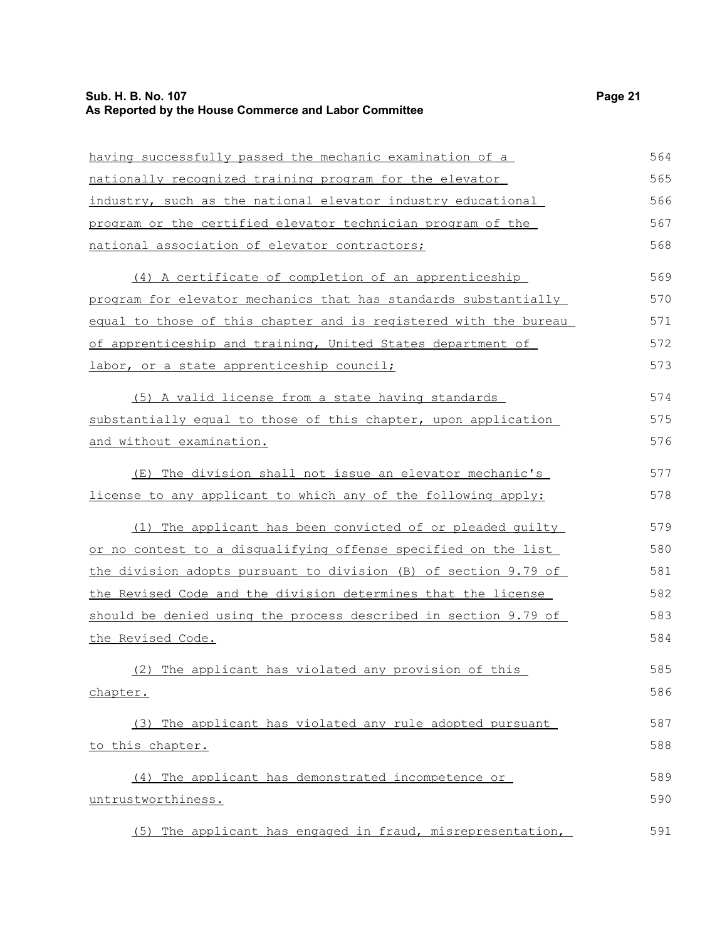### **Sub. H. B. No. 107 Page 21 As Reported by the House Commerce and Labor Committee**

| having successfully passed the mechanic examination of a         | 564 |
|------------------------------------------------------------------|-----|
| nationally recognized training program for the elevator          | 565 |
| industry, such as the national elevator industry educational     | 566 |
| program or the certified elevator technician program of the      | 567 |
| national association of elevator contractors;                    | 568 |
| (4) A certificate of completion of an apprenticeship             | 569 |
| program for elevator mechanics that has standards substantially  | 570 |
| equal to those of this chapter and is registered with the bureau | 571 |
| of apprenticeship and training, United States department of      | 572 |
| labor, or a state apprenticeship council;                        | 573 |
| (5) A valid license from a state having standards                | 574 |
| substantially equal to those of this chapter, upon application   | 575 |
| and without examination.                                         | 576 |
| (E) The division shall not issue an elevator mechanic's          | 577 |
| license to any applicant to which any of the following apply:    | 578 |
| (1) The applicant has been convicted of or pleaded quilty        | 579 |
| or no contest to a disqualifying offense specified on the list   | 580 |
| the division adopts pursuant to division (B) of section 9.79 of  | 581 |
| the Revised Code and the division determines that the license    | 582 |
| should be denied using the process described in section 9.79 of  | 583 |
| the Revised Code.                                                | 584 |
| (2) The applicant has violated any provision of this             | 585 |
| chapter.                                                         | 586 |
| (3) The applicant has violated any rule adopted pursuant         | 587 |
| to this chapter.                                                 | 588 |
| (4) The applicant has demonstrated incompetence or               | 589 |
| untrustworthiness.                                               | 590 |
| (5) The applicant has engaged in fraud, misrepresentation,       | 591 |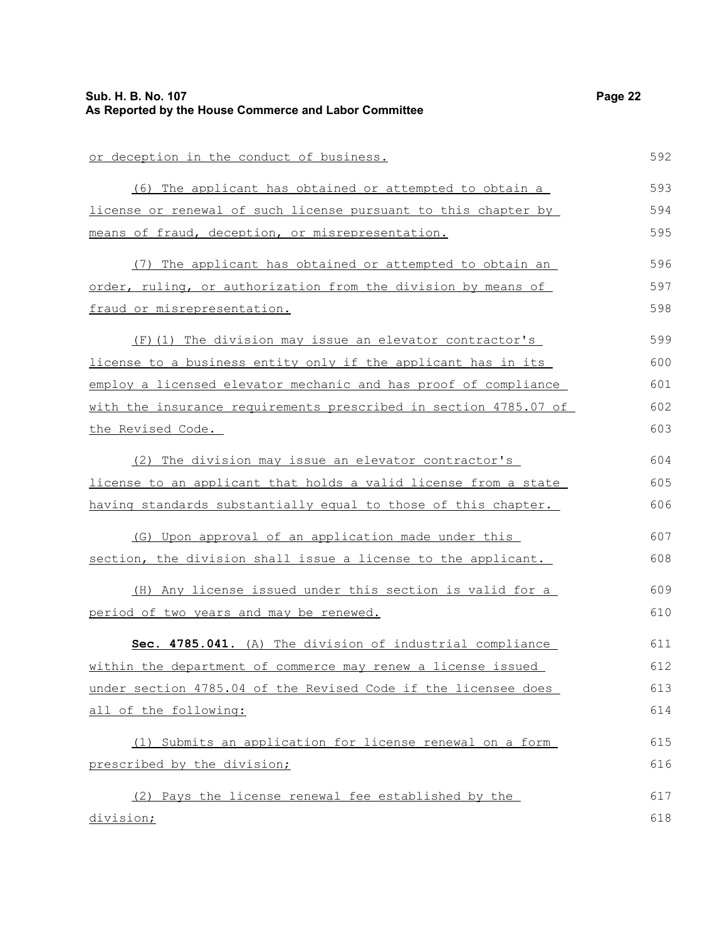| Sub. H. B. No. 107<br>As Reported by the House Commerce and Labor Committee | Page 22 |
|-----------------------------------------------------------------------------|---------|
| or deception in the conduct of business.                                    | 592     |
| (6) The applicant has obtained or attempted to obtain a                     | 593     |
| license or renewal of such license pursuant to this chapter by              | 594     |
| means of fraud, deception, or misrepresentation.                            | 595     |
| (7) The applicant has obtained or attempted to obtain an                    | 596     |
| order, ruling, or authorization from the division by means of               | 597     |
| fraud or misrepresentation.                                                 | 598     |
| (F) (1) The division may issue an elevator contractor's                     | 599     |
| license to a business entity only if the applicant has in its               | 600     |
| employ a licensed elevator mechanic and has proof of compliance             | 601     |
| with the insurance requirements prescribed in section 4785.07 of            | 602     |
| the Revised Code.                                                           | 603     |
| (2) The division may issue an elevator contractor's                         | 604     |
| license to an applicant that holds a valid license from a state             | 605     |
| having standards substantially equal to those of this chapter.              | 606     |
| (G) Upon approval of an application made under this                         | 607     |
| section, the division shall issue a license to the applicant.               | 608     |
| (H) Any license issued under this section is valid for a                    | 609     |
| period of two years and may be renewed.                                     | 610     |
| Sec. 4785.041. (A) The division of industrial compliance                    | 611     |
| within the department of commerce may renew a license issued                | 612     |
| under section 4785.04 of the Revised Code if the licensee does              | 613     |
| all of the following:                                                       | 614     |
| (1) Submits an application for license renewal on a form                    | 615     |
| prescribed by the division;                                                 | 616     |
| (2) Pays the license renewal fee established by the                         | 617     |
| division;                                                                   | 618     |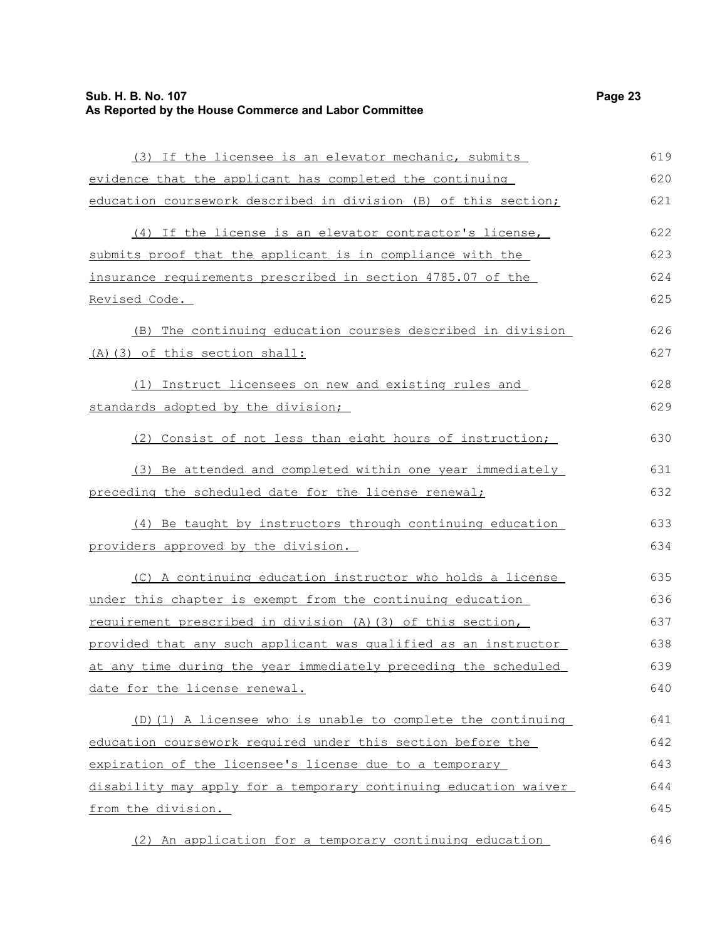| (3) If the licensee is an elevator mechanic, submits             | 619 |
|------------------------------------------------------------------|-----|
| evidence that the applicant has completed the continuing         | 620 |
| education coursework described in division (B) of this section;  | 621 |
| (4) If the license is an elevator contractor's license,          | 622 |
| submits proof that the applicant is in compliance with the       | 623 |
|                                                                  | 624 |
| insurance requirements prescribed in section 4785.07 of the      | 625 |
| <u>Revised Code.</u>                                             |     |
| The continuing education courses described in division<br>(B)    | 626 |
| (A) (3) of this section shall:                                   | 627 |
| (1) Instruct licensees on new and existing rules and             | 628 |
| standards adopted by the division;                               | 629 |
| (2) Consist of not less than eight hours of instruction;         | 630 |
| (3) Be attended and completed within one year immediately        | 631 |
| preceding the scheduled date for the license renewal;            | 632 |
| (4) Be taught by instructors through continuing education        | 633 |
| providers approved by the division.                              | 634 |
| (C) A continuing education instructor who holds a license        | 635 |
| under this chapter is exempt from the continuing education       | 636 |
| requirement prescribed in division (A) (3) of this section,      | 637 |
| provided that any such applicant was qualified as an instructor  | 638 |
| at any time during the year immediately preceding the scheduled  | 639 |
| date for the license renewal.                                    | 640 |
| (D) (1) A licensee who is unable to complete the continuing      | 641 |
| education coursework required under this section before the      | 642 |
| expiration of the licensee's license due to a temporary          | 643 |
| disability may apply for a temporary continuing education waiver | 644 |
| from the division.                                               | 645 |
|                                                                  |     |

(2) An application for a temporary continuing education 646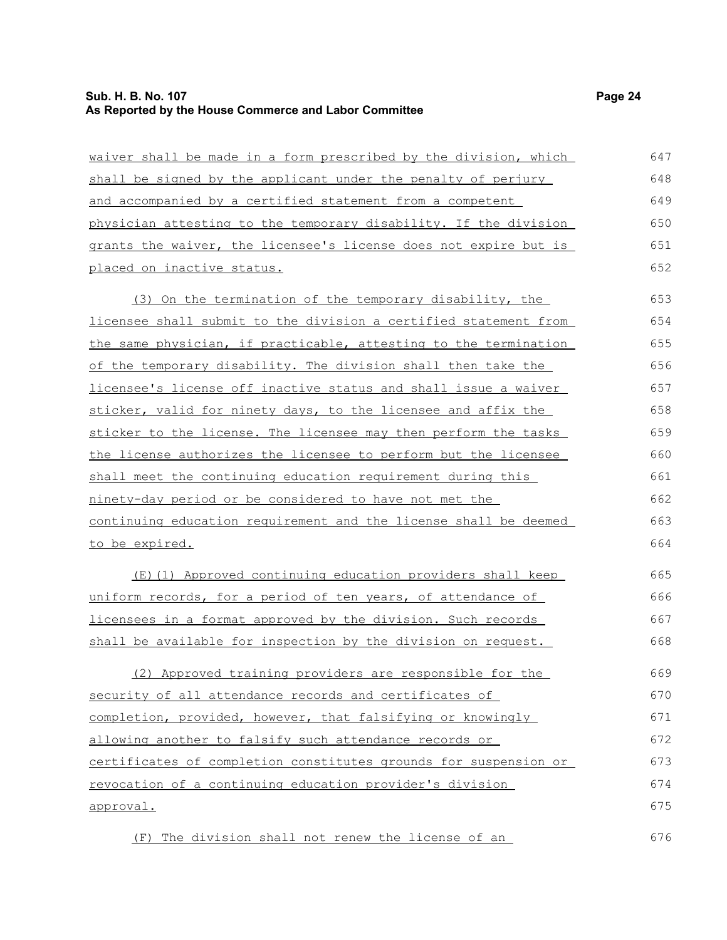waiver shall be made in a form prescribed by the division, which shall be signed by the applicant under the penalty of perjury and accompanied by a certified statement from a competent physician attesting to the temporary disability. If the division grants the waiver, the licensee's license does not expire but is placed on inactive status. (3) On the termination of the temporary disability, the licensee shall submit to the division a certified statement from the same physician, if practicable, attesting to the termination of the temporary disability. The division shall then take the licensee's license off inactive status and shall issue a waiver sticker, valid for ninety days, to the licensee and affix the sticker to the license. The licensee may then perform the tasks the license authorizes the licensee to perform but the licensee shall meet the continuing education requirement during this ninety-day period or be considered to have not met the continuing education requirement and the license shall be deemed to be expired. (E)(1) Approved continuing education providers shall keep uniform records, for a period of ten years, of attendance of licensees in a format approved by the division. Such records shall be available for inspection by the division on request. (2) Approved training providers are responsible for the security of all attendance records and certificates of completion, provided, however, that falsifying or knowingly allowing another to falsify such attendance records or certificates of completion constitutes grounds for suspension or revocation of a continuing education provider's division approval. 647 648 649 650 651 652 653 654 655 656 657 658 659 660 661 662 663 664 665 666 667 668 669 670 671 672 673 674 675

(F) The division shall not renew the license of an 676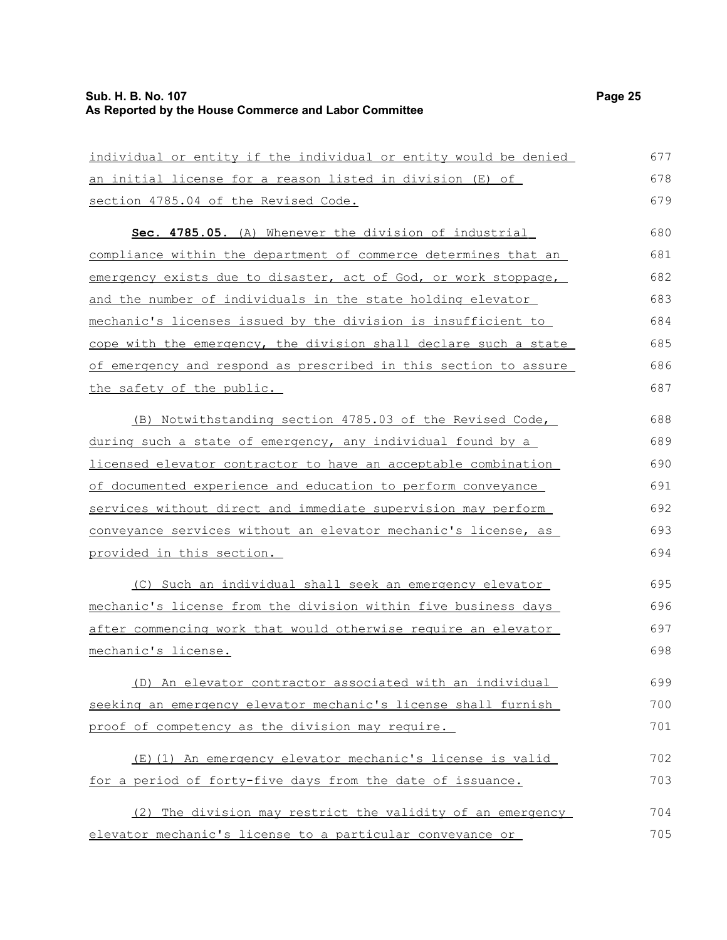### **Sub. H. B. No. 107 Page 25 As Reported by the House Commerce and Labor Committee**

| individual or entity if the individual or entity would be denied | 677 |
|------------------------------------------------------------------|-----|
| <u>an initial license for a reason listed in division (E) of</u> | 678 |
| section 4785.04 of the Revised Code.                             | 679 |
| Sec. 4785.05. (A) Whenever the division of industrial            | 680 |
| compliance within the department of commerce determines that an  | 681 |
| emergency exists due to disaster, act of God, or work stoppage,  | 682 |
| and the number of individuals in the state holding elevator      | 683 |
| mechanic's licenses issued by the division is insufficient to    | 684 |
| cope with the emergency, the division shall declare such a state | 685 |
| of emergency and respond as prescribed in this section to assure | 686 |
| the safety of the public.                                        | 687 |
| (B) Notwithstanding section 4785.03 of the Revised Code,         | 688 |
| during such a state of emergency, any individual found by a      | 689 |
| licensed elevator contractor to have an acceptable combination   | 690 |
| of documented experience and education to perform conveyance     | 691 |
| services without direct and immediate supervision may perform    | 692 |
| conveyance services without an elevator mechanic's license, as   | 693 |
| provided in this section.                                        | 694 |
| (C) Such an individual shall seek an emergency elevator          | 695 |
| mechanic's license from the division within five business days   | 696 |
| after commencing work that would otherwise require an elevator   | 697 |
| mechanic's license.                                              | 698 |
| (D) An elevator contractor associated with an individual         | 699 |
| seeking an emergency elevator mechanic's license shall furnish   | 700 |
| proof of competency as the division may require.                 | 701 |
| (E)(1) An emergency elevator mechanic's license is valid         | 702 |
| for a period of forty-five days from the date of issuance.       | 703 |
| (2) The division may restrict the validity of an emergency       | 704 |
| elevator mechanic's license to a particular conveyance or        | 705 |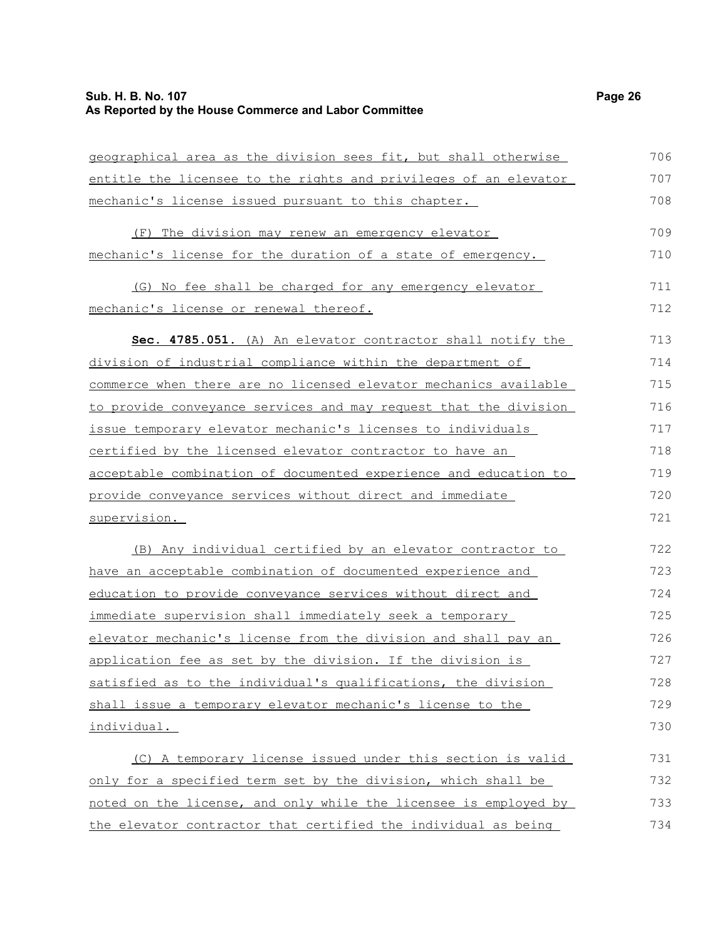#### **Sub. H. B. No. 107 Page 26 As Reported by the House Commerce and Labor Committee**

geographical area as the division sees fit, but shall otherwise entitle the licensee to the rights and privileges of an elevator mechanic's license issued pursuant to this chapter. (F) The division may renew an emergency elevator mechanic's license for the duration of a state of emergency. (G) No fee shall be charged for any emergency elevator mechanic's license or renewal thereof. **Sec. 4785.051.** (A) An elevator contractor shall notify the division of industrial compliance within the department of commerce when there are no licensed elevator mechanics available to provide conveyance services and may request that the division issue temporary elevator mechanic's licenses to individuals certified by the licensed elevator contractor to have an acceptable combination of documented experience and education to provide conveyance services without direct and immediate supervision. (B) Any individual certified by an elevator contractor to have an acceptable combination of documented experience and education to provide conveyance services without direct and immediate supervision shall immediately seek a temporary elevator mechanic's license from the division and shall pay an application fee as set by the division. If the division is satisfied as to the individual's qualifications, the division shall issue a temporary elevator mechanic's license to the 706 707 708 709 710 711 712 713 714 715 716 717 718 719 720 721 722 723 724 725 726 727 728 729

individual.

(C) A temporary license issued under this section is valid only for a specified term set by the division, which shall be noted on the license, and only while the licensee is employed by the elevator contractor that certified the individual as being 731 732 733 734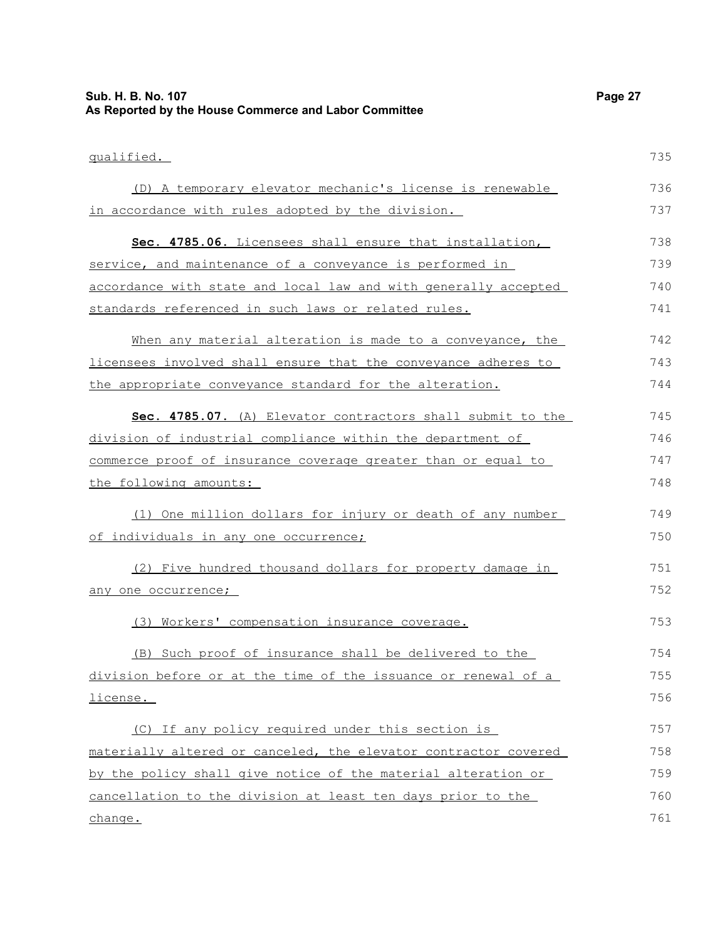| Sub. H. B. No. 107<br>As Reported by the House Commerce and Labor Committee | Page 27 |
|-----------------------------------------------------------------------------|---------|
| qualified.                                                                  | 735     |
| (D) A temporary elevator mechanic's license is renewable                    | 736     |
| in accordance with rules adopted by the division.                           | 737     |
| Sec. 4785.06. Licensees shall ensure that installation,                     | 738     |
| service, and maintenance of a conveyance is performed in                    | 739     |
| accordance with state and local law and with generally accepted             | 740     |
| standards referenced in such laws or related rules.                         | 741     |
| When any material alteration is made to a conveyance, the                   | 742     |
| licensees involved shall ensure that the conveyance adheres to              | 743     |
| the appropriate conveyance standard for the alteration.                     | 744     |
| Sec. 4785.07. (A) Elevator contractors shall submit to the                  | 745     |
| division of industrial compliance within the department of                  | 746     |
| commerce proof of insurance coverage greater than or equal to               | 747     |
| the following amounts:                                                      | 748     |
| (1) One million dollars for injury or death of any number                   | 749     |
| of individuals in any one occurrence;                                       | 750     |
| (2) Five hundred thousand dollars for property damage in                    | 751     |
| any one occurrence;                                                         | 752     |
| (3) Workers' compensation insurance coverage.                               | 753     |
| (B) Such proof of insurance shall be delivered to the                       | 754     |
| division before or at the time of the issuance or renewal of a              | 755     |
| license.                                                                    | 756     |
| (C) If any policy required under this section is                            | 757     |
| materially altered or canceled, the elevator contractor covered             | 758     |
| by the policy shall give notice of the material alteration or               | 759     |
| cancellation to the division at least ten days prior to the                 | 760     |
| change.                                                                     | 761     |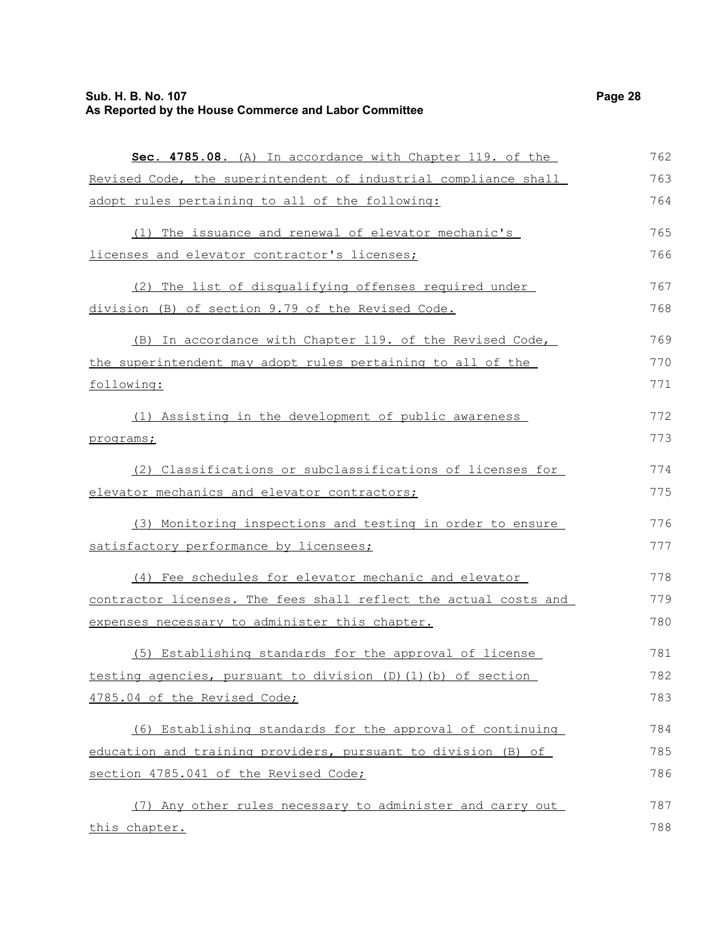### **Sub. H. B. No. 107 Page 28 As Reported by the House Commerce and Labor Committee**

| Sec. 4785.08. (A) In accordance with Chapter 119. of the            | 762 |
|---------------------------------------------------------------------|-----|
| Revised Code, the superintendent of industrial compliance shall     | 763 |
| adopt rules pertaining to all of the following:                     | 764 |
| (1) The issuance and renewal of elevator mechanic's                 | 765 |
| licenses and elevator contractor's licenses;                        | 766 |
| (2) The list of disqualifying offenses required under               | 767 |
| division (B) of section 9.79 of the Revised Code.                   | 768 |
| (B) In accordance with Chapter 119. of the Revised Code,            | 769 |
| the superintendent may adopt rules pertaining to all of the         | 770 |
| following:                                                          | 771 |
| (1) Assisting in the development of public awareness                | 772 |
| programs;                                                           | 773 |
| (2) Classifications or subclassifications of licenses for           | 774 |
| elevator mechanics and elevator contractors;                        | 775 |
| (3) Monitoring inspections and testing in order to ensure           | 776 |
| satisfactory performance by licensees;                              | 777 |
| (4) Fee schedules for elevator mechanic and elevator                | 778 |
| contractor licenses. The fees shall reflect the actual costs and    | 779 |
| expenses necessary to administer this chapter.                      | 780 |
| (5) Establishing standards for the approval of license              | 781 |
| testing agencies, pursuant to division $(D)$ $(1)$ $(b)$ of section | 782 |
| 4785.04 of the Revised Code;                                        | 783 |
| (6) Establishing standards for the approval of continuing           | 784 |
| education and training providers, pursuant to division (B) of       | 785 |
| section 4785.041 of the Revised Code;                               | 786 |
| (7) Any other rules necessary to administer and carry out           | 787 |
| this chapter.                                                       | 788 |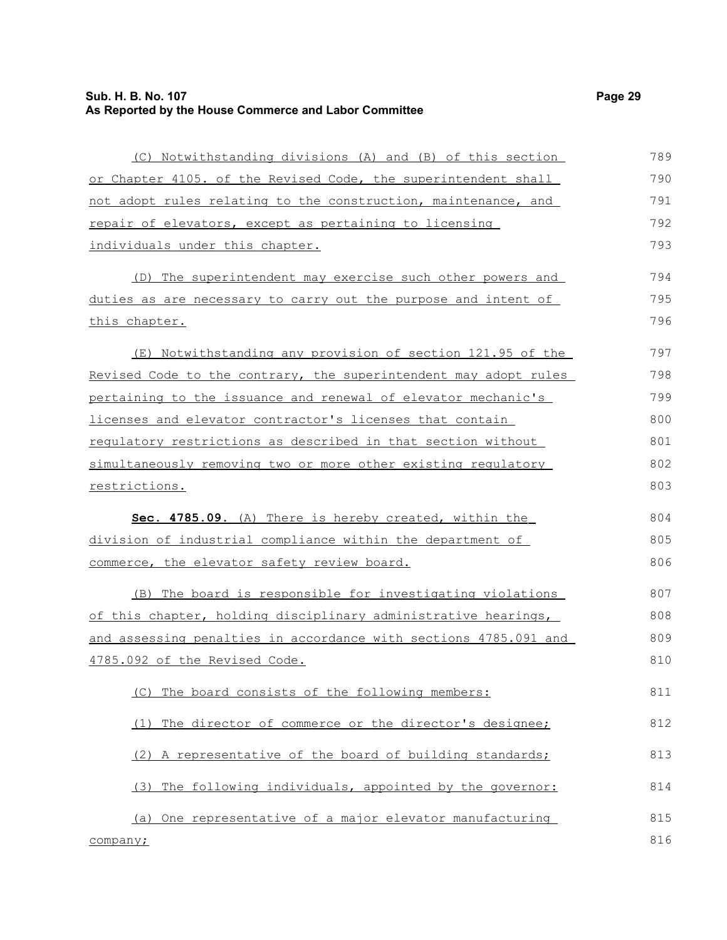### **Sub. H. B. No. 107 Page 29 As Reported by the House Commerce and Labor Committee**

| (C) Notwithstanding divisions (A) and (B) of this section        | 789 |
|------------------------------------------------------------------|-----|
| or Chapter 4105. of the Revised Code, the superintendent shall   | 790 |
| not adopt rules relating to the construction, maintenance, and   | 791 |
| repair of elevators, except as pertaining to licensing           | 792 |
| individuals under this chapter.                                  | 793 |
| (D) The superintendent may exercise such other powers and        | 794 |
| duties as are necessary to carry out the purpose and intent of   | 795 |
| <u>this chapter.</u>                                             | 796 |
| (E) Notwithstanding any provision of section 121.95 of the       | 797 |
| Revised Code to the contrary, the superintendent may adopt rules | 798 |
| pertaining to the issuance and renewal of elevator mechanic's    | 799 |
| licenses and elevator contractor's licenses that contain         | 800 |
| requlatory restrictions as described in that section without     | 801 |
| simultaneously removing two or more other existing requlatory    | 802 |
| restrictions.                                                    | 803 |
| Sec. 4785.09. (A) There is hereby created, within the            | 804 |
| division of industrial compliance within the department of       | 805 |
| commerce, the elevator safety review board.                      | 806 |
| (B) The board is responsible for investigating violations        | 807 |
| of this chapter, holding disciplinary administrative hearings,   | 808 |
| and assessing penalties in accordance with sections 4785.091 and | 809 |
| 4785.092 of the Revised Code.                                    | 810 |
| (C) The board consists of the following members:                 | 811 |
| The director of commerce or the director's designee;<br>(1)      | 812 |
| (2) A representative of the board of building standards;         | 813 |
| (3) The following individuals, appointed by the governor:        | 814 |
| One representative of a major elevator manufacturing<br>(a)      | 815 |
| company;                                                         | 816 |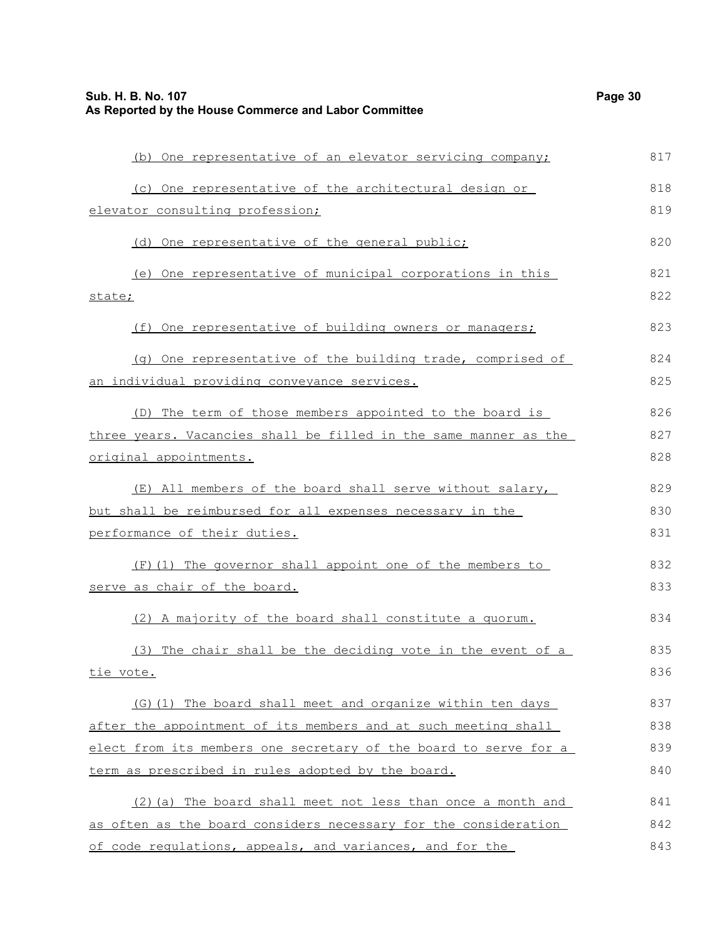| 30<br>'ane |
|------------|
|------------|

| (b) One representative of an elevator servicing company;         | 817 |
|------------------------------------------------------------------|-----|
| (c) One representative of the architectural design or            | 818 |
| elevator consulting profession;                                  | 819 |
| (d) One representative of the general public;                    | 820 |
| (e) One representative of municipal corporations in this         | 821 |
| state;                                                           | 822 |
| (f) One representative of building owners or managers;           | 823 |
| (g) One representative of the building trade, comprised of       | 824 |
| an individual providing conveyance services.                     | 825 |
| (D) The term of those members appointed to the board is          | 826 |
| three years. Vacancies shall be filled in the same manner as the | 827 |
| original appointments.                                           | 828 |
| (E) All members of the board shall serve without salary,         | 829 |
| but shall be reimbursed for all expenses necessary in the        | 830 |
| performance of their duties.                                     | 831 |
| (F) (1) The governor shall appoint one of the members to         | 832 |
| serve as chair of the board.                                     | 833 |
| (2) A majority of the board shall constitute a quorum.           | 834 |
| (3) The chair shall be the deciding vote in the event of a       | 835 |
| tie vote.                                                        | 836 |
| (G)(1) The board shall meet and organize within ten days         | 837 |
| after the appointment of its members and at such meeting shall   | 838 |
| elect from its members one secretary of the board to serve for a | 839 |
| term as prescribed in rules adopted by the board.                | 840 |
| (2) (a) The board shall meet not less than once a month and      | 841 |
| as often as the board considers necessary for the consideration  | 842 |
| of code regulations, appeals, and variances, and for the         | 843 |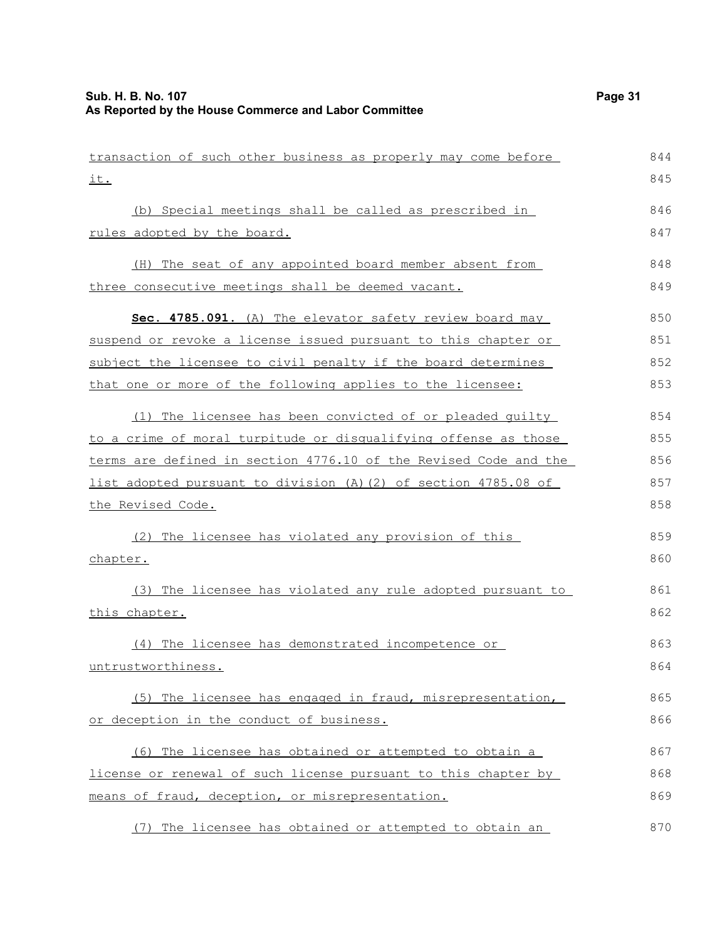| transaction of such other business as properly may come before   | 844 |
|------------------------------------------------------------------|-----|
| it.                                                              | 845 |
| (b) Special meetings shall be called as prescribed in            | 846 |
| rules adopted by the board.                                      | 847 |
| (H) The seat of any appointed board member absent from           | 848 |
| three consecutive meetings shall be deemed vacant.               | 849 |
| Sec. 4785.091. (A) The elevator safety review board may          | 850 |
| suspend or revoke a license issued pursuant to this chapter or   | 851 |
| subject the licensee to civil penalty if the board determines    | 852 |
| that one or more of the following applies to the licensee:       | 853 |
| (1) The licensee has been convicted of or pleaded quilty         | 854 |
| to a crime of moral turpitude or disqualifying offense as those  | 855 |
| terms are defined in section 4776.10 of the Revised Code and the | 856 |
| list adopted pursuant to division (A)(2) of section 4785.08 of   | 857 |
| the Revised Code.                                                | 858 |
| (2) The licensee has violated any provision of this              | 859 |
| chapter.                                                         | 860 |
| (3) The licensee has violated any rule adopted pursuant to       | 861 |
| this chapter.                                                    | 862 |
| (4) The licensee has demonstrated incompetence or                | 863 |
| untrustworthiness.                                               | 864 |
| (5) The licensee has engaged in fraud, misrepresentation,        | 865 |
| or deception in the conduct of business.                         | 866 |
| (6) The licensee has obtained or attempted to obtain a           | 867 |
| license or renewal of such license pursuant to this chapter by   | 868 |
| means of fraud, deception, or misrepresentation.                 | 869 |
| (7) The licensee has obtained or attempted to obtain an          | 870 |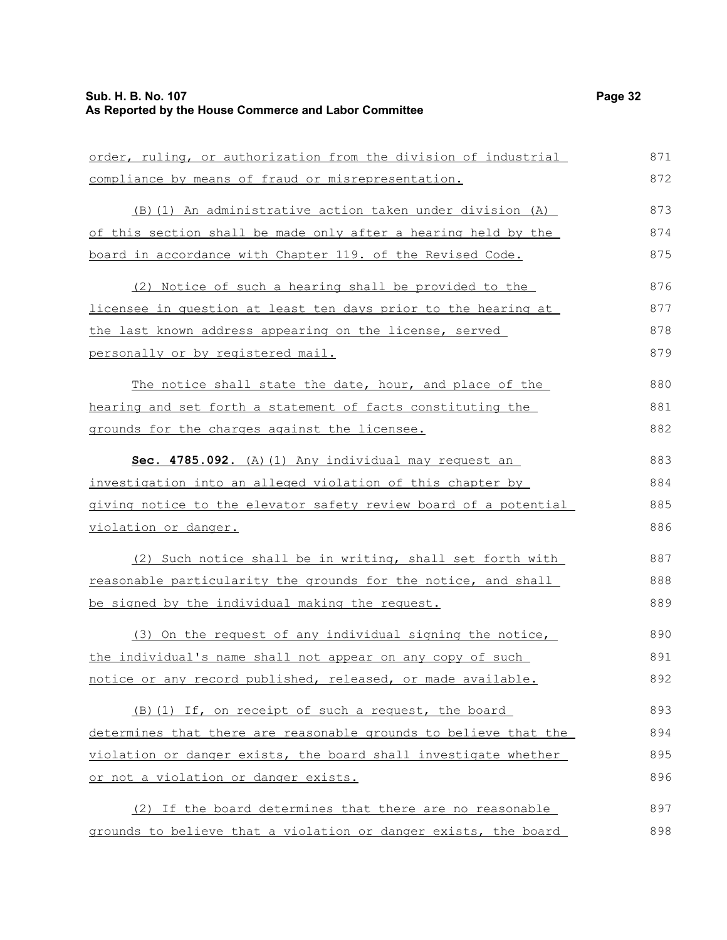| order, ruling, or authorization from the division of industrial  | 871 |
|------------------------------------------------------------------|-----|
| compliance by means of fraud or misrepresentation.               | 872 |
| (B) (1) An administrative action taken under division (A)        | 873 |
| of this section shall be made only after a hearing held by the   | 874 |
| board in accordance with Chapter 119. of the Revised Code.       | 875 |
| (2) Notice of such a hearing shall be provided to the            | 876 |
| licensee in question at least ten days prior to the hearing at   | 877 |
| the last known address appearing on the license, served          | 878 |
| personally or by registered mail.                                | 879 |
| The notice shall state the date, hour, and place of the          | 880 |
| hearing and set forth a statement of facts constituting the      | 881 |
| grounds for the charges against the licensee.                    | 882 |
| Sec. 4785.092. (A) (1) Any individual may request an             | 883 |
| investigation into an alleged violation of this chapter by       | 884 |
| giving notice to the elevator safety review board of a potential | 885 |
| violation or danger.                                             | 886 |
| (2) Such notice shall be in writing, shall set forth with        | 887 |
| reasonable particularity the grounds for the notice, and shall   | 888 |
| be signed by the individual making the request.                  | 889 |
| (3) On the request of any individual signing the notice,         | 890 |
| the individual's name shall not appear on any copy of such       | 891 |
| notice or any record published, released, or made available.     | 892 |
| (B) (1) If, on receipt of such a request, the board              | 893 |
| determines that there are reasonable grounds to believe that the | 894 |
| violation or danger exists, the board shall investigate whether  | 895 |
| or not a violation or danger exists.                             | 896 |
| (2) If the board determines that there are no reasonable         | 897 |
| grounds to believe that a violation or danger exists, the board  | 898 |